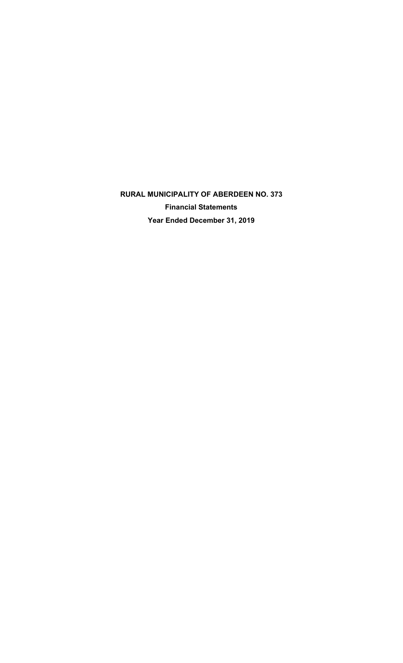**RURAL MUNICIPALITY OF ABERDEEN NO. 373 Financial Statements Year Ended December 31, 2019**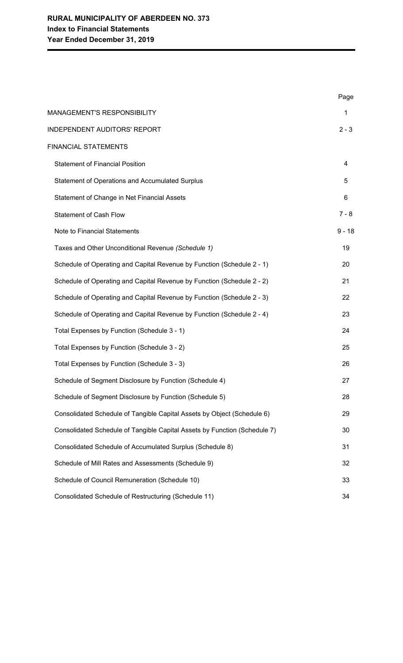|                                                                           | Page     |
|---------------------------------------------------------------------------|----------|
| MANAGEMENT'S RESPONSIBILITY                                               | 1        |
| <b>INDEPENDENT AUDITORS' REPORT</b>                                       | $2 - 3$  |
| <b>FINANCIAL STATEMENTS</b>                                               |          |
| <b>Statement of Financial Position</b>                                    | 4        |
| <b>Statement of Operations and Accumulated Surplus</b>                    | 5        |
| Statement of Change in Net Financial Assets                               | 6        |
| <b>Statement of Cash Flow</b>                                             | $7 - 8$  |
| Note to Financial Statements                                              | $9 - 18$ |
| Taxes and Other Unconditional Revenue (Schedule 1)                        | 19       |
| Schedule of Operating and Capital Revenue by Function (Schedule 2 - 1)    | 20       |
| Schedule of Operating and Capital Revenue by Function (Schedule 2 - 2)    | 21       |
| Schedule of Operating and Capital Revenue by Function (Schedule 2 - 3)    | 22       |
| Schedule of Operating and Capital Revenue by Function (Schedule 2 - 4)    | 23       |
| Total Expenses by Function (Schedule 3 - 1)                               | 24       |
| Total Expenses by Function (Schedule 3 - 2)                               | 25       |
| Total Expenses by Function (Schedule 3 - 3)                               | 26       |
| Schedule of Segment Disclosure by Function (Schedule 4)                   | 27       |
| Schedule of Segment Disclosure by Function (Schedule 5)                   | 28       |
| Consolidated Schedule of Tangible Capital Assets by Object (Schedule 6)   | 29       |
| Consolidated Schedule of Tangible Capital Assets by Function (Schedule 7) | 30       |
| Consolidated Schedule of Accumulated Surplus (Schedule 8)                 | 31       |
| Schedule of Mill Rates and Assessments (Schedule 9)                       | 32       |
| Schedule of Council Remuneration (Schedule 10)                            | 33       |
| Consolidated Schedule of Restructuring (Schedule 11)                      | 34       |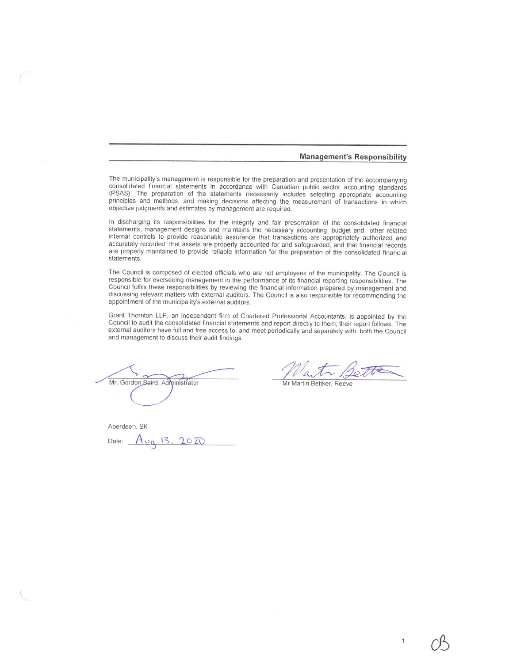#### **Management's Responsibility**

The municipality's management is responsible for the preparation and presentation of the accompanying consolidated financial statements in accordance with Canadian public sector accounting standards (PSAS). The preparation of the statements necessarily includes selecting appropriate accounting principles and methods, and making decisions affecting the measurement of transactions in which objective judgments and estimates by management are required.

In discharging its responsibilities for the integrity and fair presentation of the consolidated financial statements, management designs and maintains the necessary accounting, budget and other related internal controls to provide reasonable assurance that transactions are appropriately authorized and accurately recorded, that assets are properly accounted for and safeguarded, and that financial records are properly maintained to provide reliable information for the preparation of the consolidated financial statements.

The Council is composed of elected officials who are not employees of the municipality. The Council is responsible for overseeing management in the performance of its financial reporting responsibilities. The Council fulfils these responsibilities by reviewing the financial information prepared by management and discussing relevant matters with external auditors. The Council is also responsible for recommending the appointment of the municipality's external auditors.

Grant Thornton LLP, an independent firm of Chartered Professional Accountants, is appointed by the Council to audit the consolidated financial statements and report directly to them; their report follows. The external auditors have full and free access to, and meet periodically and separately with, both the Council and management to discuss their audit findings.

Mr. Gordon Baird, Administrator

Aberdeen, SK Date:  $A_{\nu q}$ , 13, 2020

Mr Martin Bettker, Reeve

 $\mathbf{1}$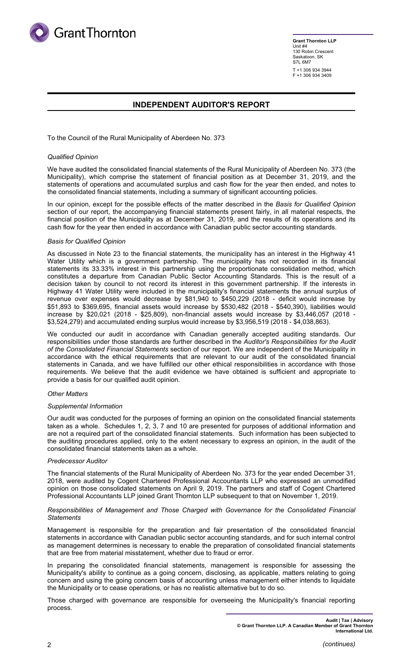

**Grant Thornton LLP** Unit #4 130 Robin Crescent Saskatoon, SK S7L 6M7 T +1 306 934 3944 F +1 306 934 3409

## **INDEPENDENT AUDITOR'S REPORT**

To the Council of the Rural Municipality of Aberdeen No. 373

### *Qualified Opinion*

We have audited the consolidated financial statements of the Rural Municipality of Aberdeen No. 373 (the Municipality), which comprise the statement of financial position as at December 31, 2019, and the statements of operations and accumulated surplus and cash flow for the year then ended, and notes to the consolidated financial statements, including a summary of significant accounting policies.

In our opinion, except for the possible effects of the matter described in the *Basis for Qualified Opinion* section of our report, the accompanying financial statements present fairly, in all material respects, the financial position of the Municipality as at December 31, 2019, and the results of its operations and its cash flow for the year then ended in accordance with Canadian public sector accounting standards.

### *Basis for Qualified Opinion*

As discussed in Note 23 to the financial statements, the municipality has an interest in the Highway 41 Water Utility which is a government partnership. The municipality has not recorded in its financial statements its 33.33% interest in this partnership using the proportionate consolidation method, which constitutes a departure from Canadian Public Sector Accounting Standards. This is the result of a decision taken by council to not record its interest in this government partnership. If the interests in Highway 41 Water Utility were included in the municipality's financial statements the annual surplus of revenue over expenses would decrease by \$81,940 to \$450,229 (2018 - deficit would increase by \$51,893 to \$369,695, financial assets would increase by \$530,482 (2018 - \$540,390), liabilities would increase by \$20,021 (2018 - \$25,809), non-financial assets would increase by \$3,446,057 (2018 - \$3,524,279) and accumulated ending surplus would increase by \$3,956,519 (2018 - \$4,038,863).

We conducted our audit in accordance with Canadian generally accepted auditing standards. Our responsibilities under those standards are further described in the *Auditor's Responsibilities for the Audit of the Consolidated Financial Statements* section of our report. We are independent of the Municipality in accordance with the ethical requirements that are relevant to our audit of the consolidated financial statements in Canada, and we have fulfilled our other ethical responsibilities in accordance with those requirements. We believe that the audit evidence we have obtained is sufficient and appropriate to provide a basis for our qualified audit opinion.

### *Other Matters*

#### *Supplemental Information*

Our audit was conducted for the purposes of forming an opinion on the consolidated financial statements taken as a whole. Schedules 1, 2, 3, 7 and 10 are presented for purposes of additional information and are not a required part of the consolidated financial statements. Such information has been subjected to the auditing procedures applied, only to the extent necessary to express an opinion, in the audit of the consolidated financial statements taken as a whole.

#### *Predecessor Auditor*

The financial statements of the Rural Municipality of Aberdeen No. 373 for the year ended December 31, 2018, were audited by Cogent Chartered Professional Accountants LLP who expressed an unmodified opinion on those consolidated statements on April 9, 2019. The partners and staff of Cogent Chartered Professional Accountants LLP joined Grant Thornton LLP subsequent to that on November 1, 2019.

#### *Responsibilities of Management and Those Charged with Governance for the Consolidated Financial Statements*

Management is responsible for the preparation and fair presentation of the consolidated financial statements in accordance with Canadian public sector accounting standards, and for such internal control as management determines is necessary to enable the preparation of consolidated financial statements that are free from material misstatement, whether due to fraud or error.

In preparing the consolidated financial statements, management is responsible for assessing the Municipality's ability to continue as a going concern, disclosing, as applicable, matters relating to going concern and using the going concern basis of accounting unless management either intends to liquidate the Municipality or to cease operations, or has no realistic alternative but to do so.

Those charged with governance are responsible for overseeing the Municipality's financial reporting process.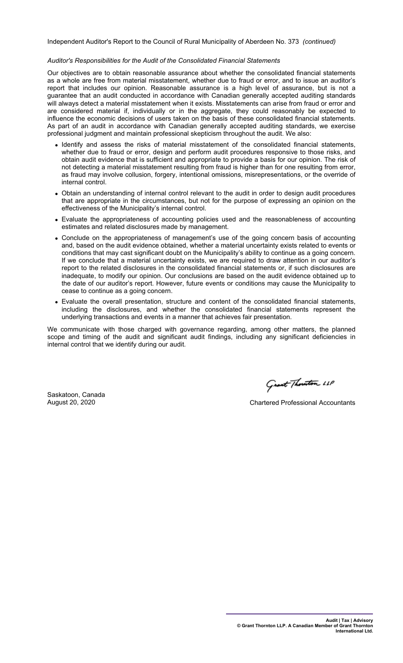Independent Auditor's Report to the Council of Rural Municipality of Aberdeen No. 373 *(continued)*

#### *Auditor's Responsibilities for the Audit of the Consolidated Financial Statements*

Our objectives are to obtain reasonable assurance about whether the consolidated financial statements as a whole are free from material misstatement, whether due to fraud or error, and to issue an auditor's report that includes our opinion. Reasonable assurance is a high level of assurance, but is not a guarantee that an audit conducted in accordance with Canadian generally accepted auditing standards will always detect a material misstatement when it exists. Misstatements can arise from fraud or error and are considered material if, individually or in the aggregate, they could reasonably be expected to influence the economic decisions of users taken on the basis of these consolidated financial statements. As part of an audit in accordance with Canadian generally accepted auditing standards, we exercise professional judgment and maintain professional skepticism throughout the audit. We also:

- Identify and assess the risks of material misstatement of the consolidated financial statements, whether due to fraud or error, design and perform audit procedures responsive to those risks, and obtain audit evidence that is sufficient and appropriate to provide a basis for our opinion. The risk of not detecting a material misstatement resulting from fraud is higher than for one resulting from error, as fraud may involve collusion, forgery, intentional omissions, misrepresentations, or the override of internal control.
- Obtain an understanding of internal control relevant to the audit in order to design audit procedures that are appropriate in the circumstances, but not for the purpose of expressing an opinion on the effectiveness of the Municipality's internal control.
- Evaluate the appropriateness of accounting policies used and the reasonableness of accounting estimates and related disclosures made by management.
- Conclude on the appropriateness of management's use of the going concern basis of accounting and, based on the audit evidence obtained, whether a material uncertainty exists related to events or conditions that may cast significant doubt on the Municipality's ability to continue as a going concern. If we conclude that a material uncertainty exists, we are required to draw attention in our auditor's report to the related disclosures in the consolidated financial statements or, if such disclosures are inadequate, to modify our opinion. Our conclusions are based on the audit evidence obtained up to the date of our auditor's report. However, future events or conditions may cause the Municipality to cease to continue as a going concern.
- Evaluate the overall presentation, structure and content of the consolidated financial statements, including the disclosures, and whether the consolidated financial statements represent the underlying transactions and events in a manner that achieves fair presentation.

We communicate with those charged with governance regarding, among other matters, the planned scope and timing of the audit and significant audit findings, including any significant deficiencies in internal control that we identify during our audit.

Saskatoon, Canada<br>August 20, 2020

Grant Thouston LLP

**Chartered Professional Accountants**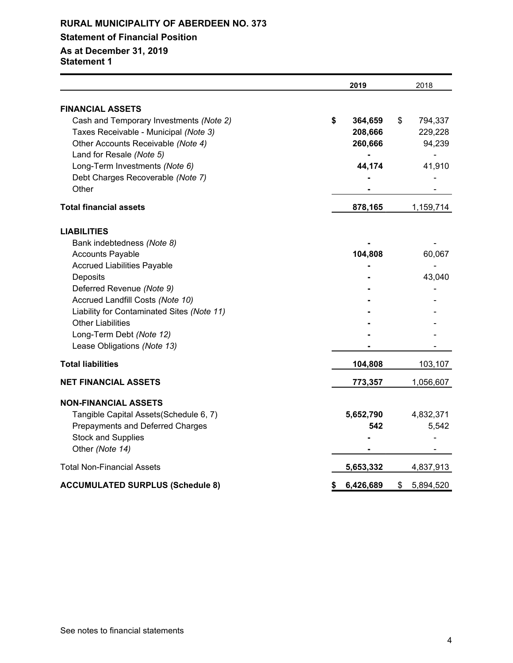## **Statement of Financial Position**

## **As at December 31, 2019**

**Statement 1**

|                                            | 2019            | 2018            |
|--------------------------------------------|-----------------|-----------------|
| <b>FINANCIAL ASSETS</b>                    |                 |                 |
| Cash and Temporary Investments (Note 2)    | \$<br>364,659   | \$<br>794,337   |
| Taxes Receivable - Municipal (Note 3)      | 208,666         | 229,228         |
| Other Accounts Receivable (Note 4)         | 260,666         | 94,239          |
| Land for Resale (Note 5)                   |                 |                 |
| Long-Term Investments (Note 6)             | 44,174          | 41,910          |
| Debt Charges Recoverable (Note 7)          |                 |                 |
| Other                                      |                 |                 |
| <b>Total financial assets</b>              | 878,165         | 1,159,714       |
| <b>LIABILITIES</b>                         |                 |                 |
| Bank indebtedness (Note 8)                 |                 |                 |
| <b>Accounts Payable</b>                    | 104,808         | 60,067          |
| <b>Accrued Liabilities Payable</b>         |                 |                 |
| Deposits                                   |                 | 43,040          |
| Deferred Revenue (Note 9)                  |                 |                 |
| Accrued Landfill Costs (Note 10)           |                 |                 |
| Liability for Contaminated Sites (Note 11) |                 |                 |
| <b>Other Liabilities</b>                   |                 |                 |
| Long-Term Debt (Note 12)                   |                 |                 |
| Lease Obligations (Note 13)                |                 |                 |
| <b>Total liabilities</b>                   | 104,808         | 103,107         |
| <b>NET FINANCIAL ASSETS</b>                | 773,357         | 1,056,607       |
| <b>NON-FINANCIAL ASSETS</b>                |                 |                 |
| Tangible Capital Assets(Schedule 6, 7)     | 5,652,790       | 4,832,371       |
| Prepayments and Deferred Charges           | 542             | 5,542           |
| <b>Stock and Supplies</b>                  |                 |                 |
| Other (Note 14)                            |                 |                 |
| <b>Total Non-Financial Assets</b>          | 5,653,332       | 4,837,913       |
| <b>ACCUMULATED SURPLUS (Schedule 8)</b>    | \$<br>6,426,689 | \$<br>5,894,520 |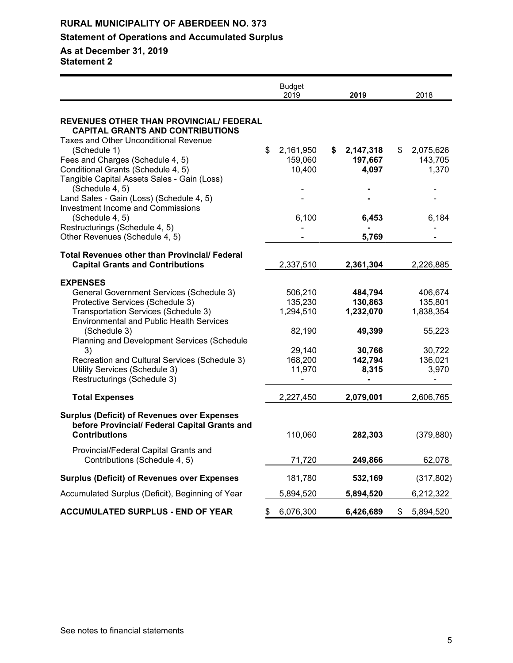## **Statement of Operations and Accumulated Surplus**

**As at December 31, 2019**

**Statement 2**

|                                                                                                     | <b>Budget</b><br>2019      | 2019                       | 2018                       |
|-----------------------------------------------------------------------------------------------------|----------------------------|----------------------------|----------------------------|
| <b>REVENUES OTHER THAN PROVINCIAL/ FEDERAL</b><br><b>CAPITAL GRANTS AND CONTRIBUTIONS</b>           |                            |                            |                            |
| <b>Taxes and Other Unconditional Revenue</b>                                                        |                            |                            |                            |
| (Schedule 1)<br>Fees and Charges (Schedule 4, 5)                                                    | \$<br>2,161,950<br>159,060 | 2,147,318<br>\$<br>197,667 | 2,075,626<br>\$<br>143,705 |
| Conditional Grants (Schedule 4, 5)                                                                  | 10,400                     | 4,097                      | 1,370                      |
| Tangible Capital Assets Sales - Gain (Loss)                                                         |                            |                            |                            |
| (Schedule 4, 5)                                                                                     |                            |                            |                            |
| Land Sales - Gain (Loss) (Schedule 4, 5)                                                            |                            |                            |                            |
| <b>Investment Income and Commissions</b>                                                            |                            |                            |                            |
| (Schedule 4, 5)                                                                                     | 6,100                      | 6,453                      | 6,184                      |
| Restructurings (Schedule 4, 5)                                                                      | -                          |                            |                            |
| Other Revenues (Schedule 4, 5)                                                                      |                            | 5,769                      |                            |
| <b>Total Revenues other than Provincial/Federal</b>                                                 |                            |                            |                            |
| <b>Capital Grants and Contributions</b>                                                             | 2,337,510                  | 2,361,304                  | 2,226,885                  |
| <b>EXPENSES</b>                                                                                     |                            |                            |                            |
| <b>General Government Services (Schedule 3)</b>                                                     | 506,210                    | 484,794                    | 406,674                    |
| Protective Services (Schedule 3)                                                                    | 135,230                    | 130,863                    | 135,801                    |
| Transportation Services (Schedule 3)                                                                | 1,294,510                  | 1,232,070                  | 1,838,354                  |
| <b>Environmental and Public Health Services</b>                                                     |                            |                            |                            |
| (Schedule 3)                                                                                        | 82,190                     | 49,399                     | 55,223                     |
| Planning and Development Services (Schedule                                                         |                            |                            |                            |
| 3)                                                                                                  | 29,140                     | 30,766                     | 30,722                     |
| Recreation and Cultural Services (Schedule 3)                                                       | 168,200                    | 142,794                    | 136,021                    |
| Utility Services (Schedule 3)<br>Restructurings (Schedule 3)                                        | 11,970                     | 8,315                      | 3,970                      |
|                                                                                                     |                            |                            |                            |
| <b>Total Expenses</b>                                                                               | 2,227,450                  | 2,079,001                  | 2,606,765                  |
| <b>Surplus (Deficit) of Revenues over Expenses</b><br>before Provincial/ Federal Capital Grants and |                            |                            |                            |
| <b>Contributions</b>                                                                                | 110,060                    | 282,303                    | (379, 880)                 |
| Provincial/Federal Capital Grants and<br>Contributions (Schedule 4, 5)                              | 71,720                     | 249,866                    | 62,078                     |
| <b>Surplus (Deficit) of Revenues over Expenses</b>                                                  | 181,780                    | 532,169                    | (317, 802)                 |
| Accumulated Surplus (Deficit), Beginning of Year                                                    | 5,894,520                  | 5,894,520                  | 6,212,322                  |
| <b>ACCUMULATED SURPLUS - END OF YEAR</b>                                                            | 6,076,300<br>\$            | 6,426,689                  | 5,894,520<br>\$            |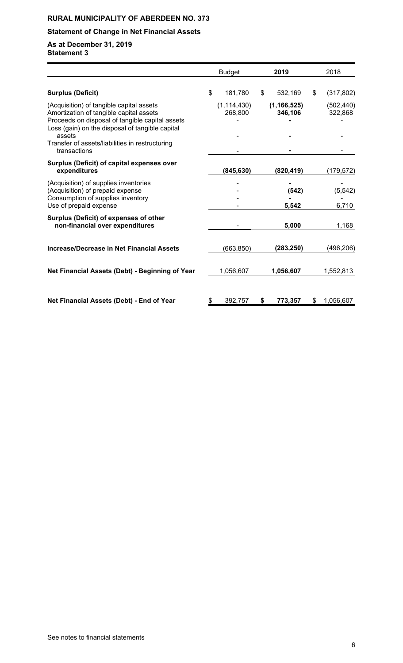## **Statement of Change in Net Financial Assets**

**As at December 31, 2019 Statement 3**

|                                                                                                                                                                                           | <b>Budget</b> |                          | 2019 |                          |    | 2018                  |
|-------------------------------------------------------------------------------------------------------------------------------------------------------------------------------------------|---------------|--------------------------|------|--------------------------|----|-----------------------|
| <b>Surplus (Deficit)</b>                                                                                                                                                                  | \$            | 181,780                  | \$   | 532,169                  | \$ | (317, 802)            |
| (Acquisition) of tangible capital assets<br>Amortization of tangible capital assets<br>Proceeds on disposal of tangible capital assets<br>Loss (gain) on the disposal of tangible capital |               | (1, 114, 430)<br>268,800 |      | (1, 166, 525)<br>346,106 |    | (502, 440)<br>322,868 |
| assets<br>Transfer of assets/liabilities in restructuring<br>transactions                                                                                                                 |               |                          |      |                          |    |                       |
| Surplus (Deficit) of capital expenses over<br>expenditures                                                                                                                                |               | (845, 630)               |      | (820, 419)               |    | (179, 572)            |
| (Acquisition) of supplies inventories<br>(Acquisition) of prepaid expense<br>Consumption of supplies inventory<br>Use of prepaid expense                                                  |               |                          |      | (542)<br>5,542           |    | (5, 542)<br>6,710     |
| Surplus (Deficit) of expenses of other<br>non-financial over expenditures                                                                                                                 |               | 5,000                    |      |                          |    | 1,168                 |
| Increase/Decrease in Net Financial Assets                                                                                                                                                 |               | (663, 850)               |      | (283, 250)               |    | (496,206)             |
| Net Financial Assets (Debt) - Beginning of Year                                                                                                                                           |               | 1,056,607                |      | 1,056,607                |    | 1,552,813             |
| Net Financial Assets (Debt) - End of Year                                                                                                                                                 | \$            | 392,757                  | \$   | 773,357                  | \$ | 1,056,607             |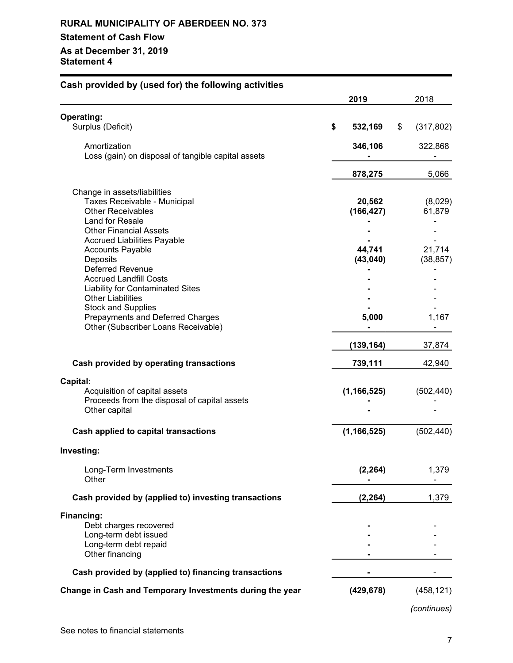## **RURAL MUNICIPALITY OF ABERDEEN NO. 373 Statement of Cash Flow As at December 31, 2019 Statement 4**

| Cash provided by (used for) the following activities                                                                                                                                                         |                      |                           |
|--------------------------------------------------------------------------------------------------------------------------------------------------------------------------------------------------------------|----------------------|---------------------------|
|                                                                                                                                                                                                              | 2019                 | 2018                      |
| <b>Operating:</b>                                                                                                                                                                                            |                      |                           |
| Surplus (Deficit)                                                                                                                                                                                            | \$<br>532,169        | \$<br>(317, 802)          |
| Amortization<br>Loss (gain) on disposal of tangible capital assets                                                                                                                                           | 346,106              | 322,868                   |
|                                                                                                                                                                                                              | 878,275              | 5,066                     |
| Change in assets/liabilities<br>Taxes Receivable - Municipal<br><b>Other Receivables</b><br>Land for Resale<br><b>Other Financial Assets</b><br><b>Accrued Liabilities Payable</b>                           | 20,562<br>(166, 427) | (8,029)<br>61,879         |
| <b>Accounts Payable</b><br>Deposits<br><b>Deferred Revenue</b>                                                                                                                                               | 44,741<br>(43, 040)  | 21,714<br>(38, 857)       |
| <b>Accrued Landfill Costs</b><br><b>Liability for Contaminated Sites</b><br><b>Other Liabilities</b><br><b>Stock and Supplies</b><br>Prepayments and Deferred Charges<br>Other (Subscriber Loans Receivable) | 5,000                | 1,167                     |
|                                                                                                                                                                                                              | (139, 164)           | 37,874                    |
| Cash provided by operating transactions                                                                                                                                                                      | 739,111              | 42,940                    |
| Capital:<br>Acquisition of capital assets<br>Proceeds from the disposal of capital assets<br>Other capital                                                                                                   | (1, 166, 525)        | (502, 440)                |
| Cash applied to capital transactions                                                                                                                                                                         | (1, 166, 525)        | (502, 440)                |
| Investing:                                                                                                                                                                                                   |                      |                           |
| Long-Term Investments<br>Other                                                                                                                                                                               | (2, 264)             | 1,379                     |
| Cash provided by (applied to) investing transactions                                                                                                                                                         | (2, 264)             | 1,379                     |
| Financing:<br>Debt charges recovered<br>Long-term debt issued<br>Long-term debt repaid<br>Other financing                                                                                                    |                      |                           |
| Cash provided by (applied to) financing transactions                                                                                                                                                         |                      |                           |
| Change in Cash and Temporary Investments during the year                                                                                                                                                     | (429, 678)           | (458, 121)<br>(continues) |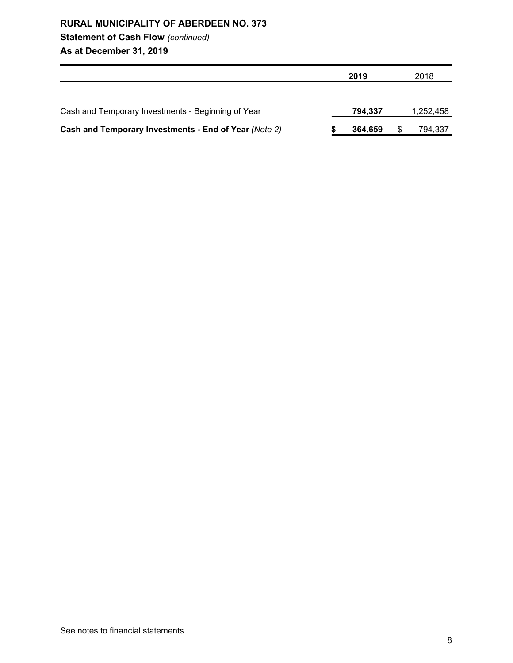## **Statement of Cash Flow** *(continued)*

**As at December 31, 2019**

|                                                       | 2019    | 2018      |
|-------------------------------------------------------|---------|-----------|
|                                                       |         |           |
| Cash and Temporary Investments - Beginning of Year    | 794.337 | 1,252,458 |
| Cash and Temporary Investments - End of Year (Note 2) | 364,659 | 794,337   |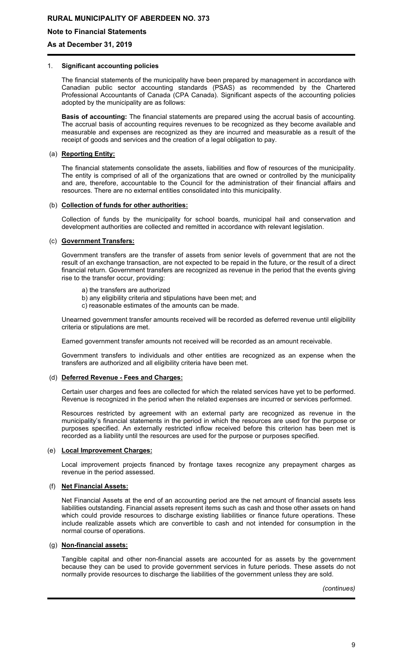### **Note to Financial Statements**

### **As at December 31, 2019**

#### 1. **Significant accounting policies**

The financial statements of the municipality have been prepared by management in accordance with Canadian public sector accounting standards (PSAS) as recommended by the Chartered Professional Accountants of Canada (CPA Canada). Significant aspects of the accounting policies adopted by the municipality are as follows:

**Basis of accounting:** The financial statements are prepared using the accrual basis of accounting. The accrual basis of accounting requires revenues to be recognized as they become available and measurable and expenses are recognized as they are incurred and measurable as a result of the receipt of goods and services and the creation of a legal obligation to pay.

### (a) **Reporting Entity:**

The financial statements consolidate the assets, liabilities and flow of resources of the municipality. The entity is comprised of all of the organizations that are owned or controlled by the municipality and are, therefore, accountable to the Council for the administration of their financial affairs and resources. There are no external entities consolidated into this municipality.

#### (b) **Collection of funds for other authorities:**

Collection of funds by the municipality for school boards, municipal hail and conservation and development authorities are collected and remitted in accordance with relevant legislation.

### (c) **Government Transfers:**

Government transfers are the transfer of assets from senior levels of government that are not the result of an exchange transaction, are not expected to be repaid in the future, or the result of a direct financial return. Government transfers are recognized as revenue in the period that the events giving rise to the transfer occur, providing:

- a) the transfers are authorized
- b) any eligibility criteria and stipulations have been met; and
- c) reasonable estimates of the amounts can be made.

Unearned government transfer amounts received will be recorded as deferred revenue until eligibility criteria or stipulations are met.

Earned government transfer amounts not received will be recorded as an amount receivable.

Government transfers to individuals and other entities are recognized as an expense when the transfers are authorized and all eligibility criteria have been met.

### (d) **Deferred Revenue - Fees and Charges:**

Certain user charges and fees are collected for which the related services have yet to be performed. Revenue is recognized in the period when the related expenses are incurred or services performed.

Resources restricted by agreement with an external party are recognized as revenue in the municipality's financial statements in the period in which the resources are used for the purpose or purposes specified. An externally restricted inflow received before this criterion has been met is recorded as a liability until the resources are used for the purpose or purposes specified.

#### (e) **Local Improvement Charges:**

Local improvement projects financed by frontage taxes recognize any prepayment charges as revenue in the period assessed.

### (f) **Net Financial Assets:**

Net Financial Assets at the end of an accounting period are the net amount of financial assets less liabilities outstanding. Financial assets represent items such as cash and those other assets on hand which could provide resources to discharge existing liabilities or finance future operations. These include realizable assets which are convertible to cash and not intended for consumption in the normal course of operations.

#### (g) **Non-financial assets:**

Tangible capital and other non-financial assets are accounted for as assets by the government because they can be used to provide government services in future periods. These assets do not normally provide resources to discharge the liabilities of the government unless they are sold.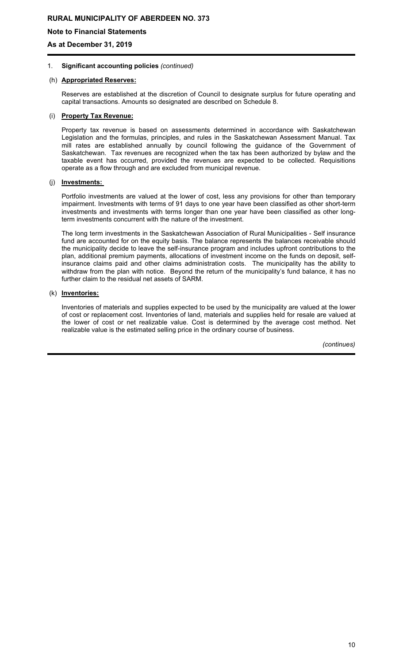### **Note to Financial Statements**

**As at December 31, 2019**

### 1. **Significant accounting policies** *(continued)*

### (h) **Appropriated Reserves:**

Reserves are established at the discretion of Council to designate surplus for future operating and capital transactions. Amounts so designated are described on Schedule 8.

#### (i) **Property Tax Revenue:**

Property tax revenue is based on assessments determined in accordance with Saskatchewan Legislation and the formulas, principles, and rules in the Saskatchewan Assessment Manual. Tax mill rates are established annually by council following the guidance of the Government of Saskatchewan. Tax revenues are recognized when the tax has been authorized by bylaw and the taxable event has occurred, provided the revenues are expected to be collected. Requisitions operate as a flow through and are excluded from municipal revenue.

### (j) **Investments:**

Portfolio investments are valued at the lower of cost, less any provisions for other than temporary impairment. Investments with terms of 91 days to one year have been classified as other short-term investments and investments with terms longer than one year have been classified as other longterm investments concurrent with the nature of the investment.

The long term investments in the Saskatchewan Association of Rural Municipalities - Self insurance fund are accounted for on the equity basis. The balance represents the balances receivable should the municipality decide to leave the self-insurance program and includes upfront contributions to the plan, additional premium payments, allocations of investment income on the funds on deposit, selfinsurance claims paid and other claims administration costs. The municipality has the ability to withdraw from the plan with notice. Beyond the return of the municipality's fund balance, it has no further claim to the residual net assets of SARM.

### (k) **Inventories:**

Inventories of materials and supplies expected to be used by the municipality are valued at the lower of cost or replacement cost. Inventories of land, materials and supplies held for resale are valued at the lower of cost or net realizable value. Cost is determined by the average cost method. Net realizable value is the estimated selling price in the ordinary course of business.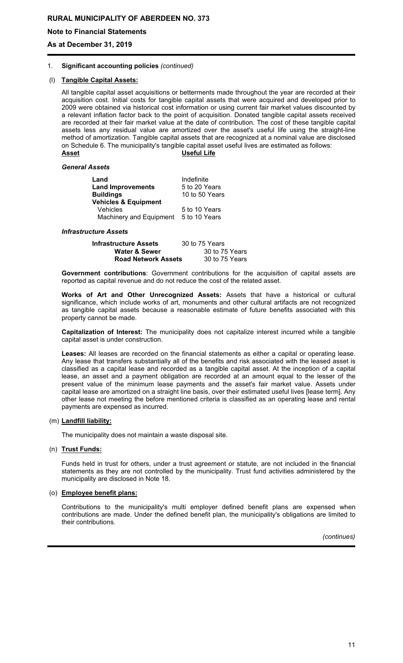### **Note to Financial Statements**

**As at December 31, 2019**

#### 1. **Significant accounting policies** *(continued)*

### (l) **Tangible Capital Assets:**

All tangible capital asset acquisitions or betterments made throughout the year are recorded at their acquisition cost. Initial costs for tangible capital assets that were acquired and developed prior to 2009 were obtained via historical cost information or using current fair market values discounted by a relevant inflation factor back to the point of acquisition. Donated tangible capital assets received are recorded at their fair market value at the date of contribution. The cost of these tangible capital assets less any residual value are amortized over the asset's useful life using the straight-line method of amortization. Tangible capital assets that are recognized at a nominal value are disclosed on Schedule 6. The municipality's tangible capital asset useful lives are estimated as follows: **Asset Useful Life**

#### *General Assets*

| Land                            | Indefinite     |
|---------------------------------|----------------|
| <b>Land Improvements</b>        | 5 to 20 Years  |
| <b>Buildings</b>                | 10 to 50 Years |
| <b>Vehicles &amp; Equipment</b> |                |
| <b>Vehicles</b>                 | 5 to 10 Years  |
| Machinery and Equipment         | 5 to 10 Years  |

#### *Infrastructure Assets*

| <b>Infrastructure Assets</b> | 30 to 75 Years |
|------------------------------|----------------|
| <b>Water &amp; Sewer</b>     | 30 to 75 Years |
| <b>Road Network Assets</b>   | 30 to 75 Years |

**Government contributions**: Government contributions for the acquisition of capital assets are reported as capital revenue and do not reduce the cost of the related asset.

**Works of Art and Other Unrecognized Assets:** Assets that have a historical or cultural significance, which include works of art, monuments and other cultural artifacts are not recognized as tangible capital assets because a reasonable estimate of future benefits associated with this property cannot be made.

**Capitalization of Interest:** The municipality does not capitalize interest incurred while a tangible capital asset is under construction.

**Leases:** All leases are recorded on the financial statements as either a capital or operating lease. Any lease that transfers substantially all of the benefits and risk associated with the leased asset is classified as a capital lease and recorded as a tangible capital asset. At the inception of a capital lease, an asset and a payment obligation are recorded at an amount equal to the lesser of the present value of the minimum lease payments and the asset's fair market value. Assets under capital lease are amortized on a straight line basis, over their estimated useful lives [lease term]. Any other lease not meeting the before mentioned criteria is classified as an operating lease and rental payments are expensed as incurred.

#### (m) **Landfill liability:**

The municipality does not maintain a waste disposal site.

#### (n) **Trust Funds:**

Funds held in trust for others, under a trust agreement or statute, are not included in the financial statements as they are not controlled by the municipality. Trust fund activities administered by the municipality are disclosed in Note 18.

### (o) **Employee benefit plans:**

Contributions to the municipality's multi employer defined benefit plans are expensed when contributions are made. Under the defined benefit plan, the municipality's obligations are limited to their contributions.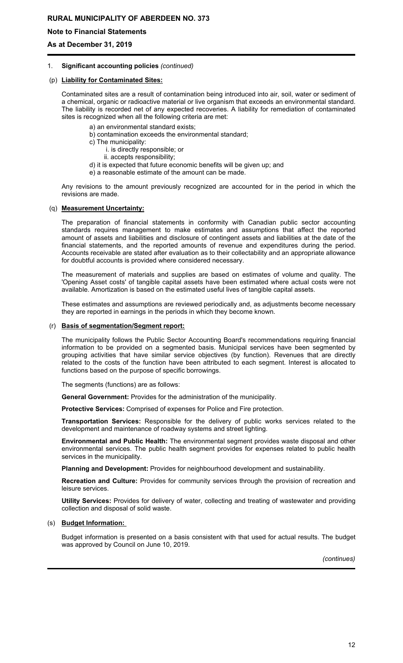### **Note to Financial Statements**

**As at December 31, 2019**

#### 1. **Significant accounting policies** *(continued)*

### (p) **Liability for Contaminated Sites:**

Contaminated sites are a result of contamination being introduced into air, soil, water or sediment of a chemical, organic or radioactive material or live organism that exceeds an environmental standard. The liability is recorded net of any expected recoveries. A liability for remediation of contaminated sites is recognized when all the following criteria are met:

- a) an environmental standard exists;
- b) contamination exceeds the environmental standard;
- c) The municipality:
	- i. is directly responsible; or
	- ii. accepts responsibility;
- d) it is expected that future economic benefits will be given up; and
- e) a reasonable estimate of the amount can be made.

Any revisions to the amount previously recognized are accounted for in the period in which the revisions are made.

### (q) **Measurement Uncertainty:**

The preparation of financial statements in conformity with Canadian public sector accounting standards requires management to make estimates and assumptions that affect the reported amount of assets and liabilities and disclosure of contingent assets and liabilities at the date of the financial statements, and the reported amounts of revenue and expenditures during the period. Accounts receivable are stated after evaluation as to their collectability and an appropriate allowance for doubtful accounts is provided where considered necessary.

The measurement of materials and supplies are based on estimates of volume and quality. The 'Opening Asset costs' of tangible capital assets have been estimated where actual costs were not available. Amortization is based on the estimated useful lives of tangible capital assets.

These estimates and assumptions are reviewed periodically and, as adjustments become necessary they are reported in earnings in the periods in which they become known.

#### (r) **Basis of segmentation/Segment report:**

The municipality follows the Public Sector Accounting Board's recommendations requiring financial information to be provided on a segmented basis. Municipal services have been segmented by grouping activities that have similar service objectives (by function). Revenues that are directly related to the costs of the function have been attributed to each segment. Interest is allocated to functions based on the purpose of specific borrowings.

The segments (functions) are as follows:

**General Government:** Provides for the administration of the municipality.

**Protective Services:** Comprised of expenses for Police and Fire protection.

**Transportation Services:** Responsible for the delivery of public works services related to the development and maintenance of roadway systems and street lighting.

**Environmental and Public Health:** The environmental segment provides waste disposal and other environmental services. The public health segment provides for expenses related to public health services in the municipality.

**Planning and Development:** Provides for neighbourhood development and sustainability.

**Recreation and Culture:** Provides for community services through the provision of recreation and leisure services.

**Utility Services:** Provides for delivery of water, collecting and treating of wastewater and providing collection and disposal of solid waste.

### (s) **Budget Information:**

Budget information is presented on a basis consistent with that used for actual results. The budget was approved by Council on June 10, 2019.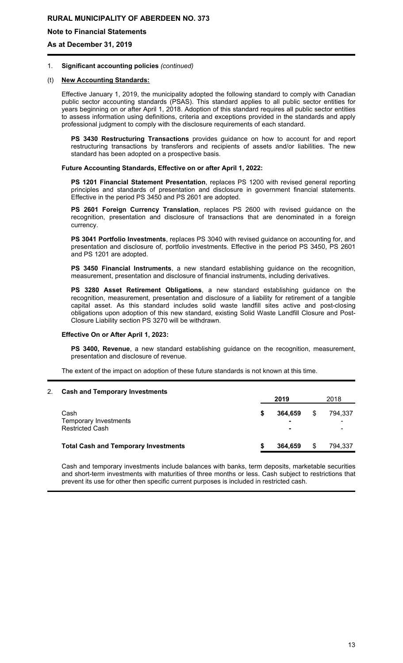### **Note to Financial Statements**

**As at December 31, 2019**

#### 1. **Significant accounting policies** *(continued)*

### (t) **New Accounting Standards:**

Effective January 1, 2019, the municipality adopted the following standard to comply with Canadian public sector accounting standards (PSAS). This standard applies to all public sector entities for years beginning on or after April 1, 2018. Adoption of this standard requires all public sector entities to assess information using definitions, criteria and exceptions provided in the standards and apply professional judgment to comply with the disclosure requirements of each standard.

**PS 3430 Restructuring Transactions** provides guidance on how to account for and report restructuring transactions by transferors and recipients of assets and/or liabilities. The new standard has been adopted on a prospective basis.

#### **Future Accounting Standards, Effective on or after April 1, 2022:**

**PS 1201 Financial Statement Presentation**, replaces PS 1200 with revised general reporting principles and standards of presentation and disclosure in government financial statements. Effective in the period PS 3450 and PS 2601 are adopted.

**PS 2601 Foreign Currency Translation**, replaces PS 2600 with revised guidance on the recognition, presentation and disclosure of transactions that are denominated in a foreign currency.

**PS 3041 Portfolio Investments**, replaces PS 3040 with revised guidance on accounting for, and presentation and disclosure of, portfolio investments. Effective in the period PS 3450, PS 2601 and PS 1201 are adopted.

**PS 3450 Financial Instruments**, a new standard establishing guidance on the recognition, measurement, presentation and disclosure of financial instruments, including derivatives.

**PS 3280 Asset Retirement Obligations**, a new standard establishing guidance on the recognition, measurement, presentation and disclosure of a liability for retirement of a tangible capital asset. As this standard includes solid waste landfill sites active and post-closing obligations upon adoption of this new standard, existing Solid Waste Landfill Closure and Post-Closure Liability section PS 3270 will be withdrawn.

#### **Effective On or After April 1, 2023:**

**PS 3400, Revenue**, a new standard establishing guidance on the recognition, measurement, presentation and disclosure of revenue.

The extent of the impact on adoption of these future standards is not known at this time.

#### 2. **Cash and Temporary Investments**

|                                                         | 2019 |              |    | 2018         |  |  |
|---------------------------------------------------------|------|--------------|----|--------------|--|--|
| Cash<br>Temporary Investments<br><b>Restricted Cash</b> |      | 364.659<br>۰ | \$ | 794.337<br>۰ |  |  |
| <b>Total Cash and Temporary Investments</b>             |      | 364.659      | \$ | 794,337      |  |  |

Cash and temporary investments include balances with banks, term deposits, marketable securities and short-term investments with maturities of three months or less. Cash subject to restrictions that prevent its use for other then specific current purposes is included in restricted cash.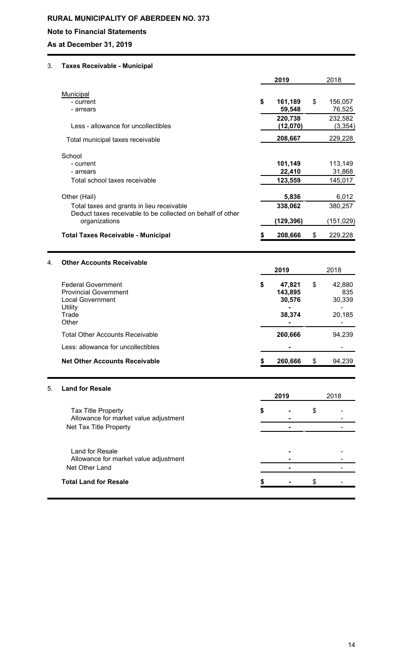## **Note to Financial Statements**

## **As at December 31, 2019**

## 3. **Taxes Receivable - Municipal**

|    |                                                            |    | 2019      | 2018 |            |  |
|----|------------------------------------------------------------|----|-----------|------|------------|--|
|    | Municipal                                                  |    |           |      |            |  |
|    | - current                                                  | \$ | 161,189   | \$   | 156,057    |  |
|    | - arrears                                                  |    | 59,548    |      | 76,525     |  |
|    |                                                            |    | 220,738   |      | 232,582    |  |
|    | Less - allowance for uncollectibles                        |    | (12,070)  |      | (3, 354)   |  |
|    | Total municipal taxes receivable                           |    | 208,667   |      | 229,228    |  |
|    | School                                                     |    |           |      |            |  |
|    | - current                                                  |    | 101,149   |      | 113,149    |  |
|    | - arrears                                                  |    | 22,410    |      | 31,868     |  |
|    | Total school taxes receivable                              |    | 123,559   |      | 145,017    |  |
|    | Other (Hail)                                               |    | 5,836     |      | 6,012      |  |
|    | Total taxes and grants in lieu receivable                  |    | 338,062   |      | 380,257    |  |
|    | Deduct taxes receivable to be collected on behalf of other |    |           |      |            |  |
|    | organizations                                              |    | (129,396) |      | (151, 029) |  |
|    | <b>Total Taxes Receivable - Municipal</b>                  | \$ | 208,666   | \$   | 229,228    |  |
| 4. | <b>Other Accounts Receivable</b>                           |    |           |      |            |  |
|    |                                                            |    | 2019      |      | 2018       |  |
|    | <b>Federal Government</b>                                  | \$ | 47,821    | \$   | 42,880     |  |
|    | <b>Provincial Government</b>                               |    | 143,895   |      | 835        |  |
|    | <b>Local Government</b>                                    |    | 30,576    |      | 30,339     |  |
|    | Utility                                                    |    |           |      |            |  |
|    | Trade<br>Other                                             |    | 38,374    |      | 20,185     |  |
|    |                                                            |    |           |      |            |  |
|    | <b>Total Other Accounts Receivable</b>                     |    | 260,666   |      | 94,239     |  |
|    | Less: allowance for uncollectibles                         |    |           |      |            |  |
|    | <b>Net Other Accounts Receivable</b>                       |    | 260,666   | \$   | 94,239     |  |
| 5. | <b>Land for Resale</b>                                     |    |           |      |            |  |
|    |                                                            |    | 2019      |      | 2018       |  |
|    | <b>Tax Title Property</b>                                  | S  |           | \$   |            |  |
|    | Allowance for market value adjustment                      |    |           |      |            |  |
|    | Net Tax Title Property                                     |    |           |      |            |  |
|    |                                                            |    |           |      |            |  |
|    | Land for Resale                                            |    |           |      |            |  |
|    | Allowance for market value adjustment<br>Net Other Land    |    |           |      |            |  |
|    |                                                            |    |           |      |            |  |
|    | <b>Total Land for Resale</b>                               |    |           | \$   |            |  |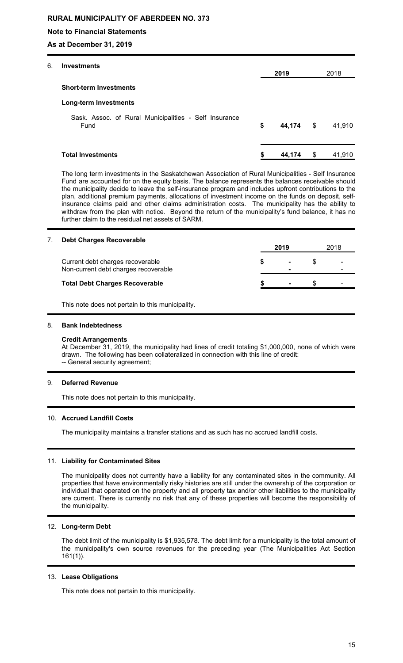### **Note to Financial Statements**

**As at December 31, 2019**

| 6. | <b>Investments</b>                                            |              |              |
|----|---------------------------------------------------------------|--------------|--------------|
|    |                                                               | 2019         | 2018         |
|    | <b>Short-term Investments</b>                                 |              |              |
|    | <b>Long-term Investments</b>                                  |              |              |
|    | Sask. Assoc. of Rural Municipalities - Self Insurance<br>Fund | \$<br>44,174 | \$<br>41,910 |
|    | <b>Total Investments</b>                                      | \$<br>44.174 | \$<br>41,910 |

The long term investments in the Saskatchewan Association of Rural Municipalities - Self Insurance Fund are accounted for on the equity basis. The balance represents the balances receivable should the municipality decide to leave the self-insurance program and includes upfront contributions to the plan, additional premium payments, allocations of investment income on the funds on deposit, selfinsurance claims paid and other claims administration costs. The municipality has the ability to withdraw from the plan with notice. Beyond the return of the municipality's fund balance, it has no further claim to the residual net assets of SARM.

### 7. **Debt Charges Recoverable**

|                                                                          | 2019                | 2018 |  |
|--------------------------------------------------------------------------|---------------------|------|--|
| Current debt charges recoverable<br>Non-current debt charges recoverable | $\blacksquare$<br>- |      |  |
| <b>Total Debt Charges Recoverable</b>                                    | $\blacksquare$      |      |  |
|                                                                          |                     |      |  |

This note does not pertain to this municipality.

### 8. **Bank Indebtedness**

#### **Credit Arrangements**

At December 31, 2019, the municipality had lines of credit totaling \$1,000,000, none of which were drawn. The following has been collateralized in connection with this line of credit: -- General security agreement;

### 9. **Deferred Revenue**

This note does not pertain to this municipality.

### 10. **Accrued Landfill Costs**

The municipality maintains a transfer stations and as such has no accrued landfill costs.

### 11. **Liability for Contaminated Sites**

The municipality does not currently have a liability for any contaminated sites in the community. All properties that have environmentally risky histories are still under the ownership of the corporation or individual that operated on the property and all property tax and/or other liabilities to the municipality are current. There is currently no risk that any of these properties will become the responsibility of the municipality.

### 12. **Long-term Debt**

The debt limit of the municipality is \$1,935,578. The debt limit for a municipality is the total amount of the municipality's own source revenues for the preceding year (The Municipalities Act Section 161(1)).

#### 13. **Lease Obligations**

This note does not pertain to this municipality.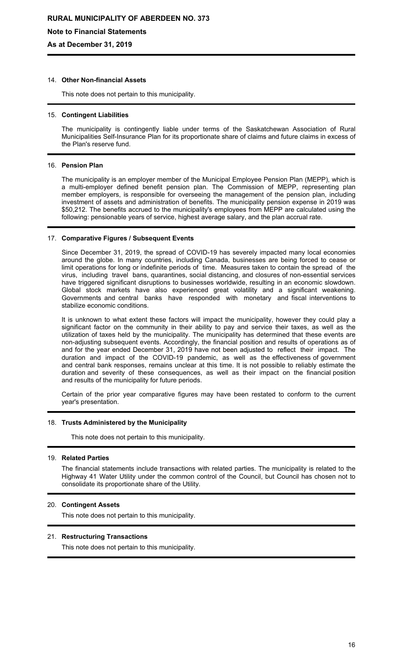**Note to Financial Statements**

**As at December 31, 2019**

### 14. **Other Non-financial Assets**

This note does not pertain to this municipality.

#### 15. **Contingent Liabilities**

The municipality is contingently liable under terms of the Saskatchewan Association of Rural Municipalities Self-Insurance Plan for its proportionate share of claims and future claims in excess of the Plan's reserve fund.

#### 16. **Pension Plan**

The municipality is an employer member of the Municipal Employee Pension Plan (MEPP), which is a multi-employer defined benefit pension plan. The Commission of MEPP, representing plan member employers, is responsible for overseeing the management of the pension plan, including investment of assets and administration of benefits. The municipality pension expense in 2019 was \$50,212. The benefits accrued to the municipality's employees from MEPP are calculated using the following: pensionable years of service, highest average salary, and the plan accrual rate.

### 17. **Comparative Figures / Subsequent Events**

Since December 31, 2019, the spread of COVID-19 has severely impacted many local economies around the globe. In many countries, including Canada, businesses are being forced to cease or limit operations for long or indefinite periods of time. Measures taken to contain the spread of the virus, including travel bans, quarantines, social distancing, and closures of non-essential services have triggered significant disruptions to businesses worldwide, resulting in an economic slowdown. Global stock markets have also experienced great volatility and a significant weakening. Governments and central banks have responded with monetary and fiscal interventions to stabilize economic conditions.

It is unknown to what extent these factors will impact the municipality, however they could play a significant factor on the community in their ability to pay and service their taxes, as well as the utilization of taxes held by the municipality. The municipality has determined that these events are non-adjusting subsequent events. Accordingly, the financial position and results of operations as of and for the year ended December 31, 2019 have not been adjusted to reflect their impact. The duration and impact of the COVID-19 pandemic, as well as the effectiveness of government and central bank responses, remains unclear at this time. It is not possible to reliably estimate the duration and severity of these consequences, as well as their impact on the financial position and results of the municipality for future periods.

Certain of the prior year comparative figures may have been restated to conform to the current year's presentation.

#### 18. **Trusts Administered by the Municipality**

This note does not pertain to this municipality.

#### 19. **Related Parties**

The financial statements include transactions with related parties. The municipality is related to the Highway 41 Water Utility under the common control of the Council, but Council has chosen not to consolidate its proportionate share of the Utility.

### 20. **Contingent Assets**

This note does not pertain to this municipality.

#### 21. **Restructuring Transactions**

This note does not pertain to this municipality.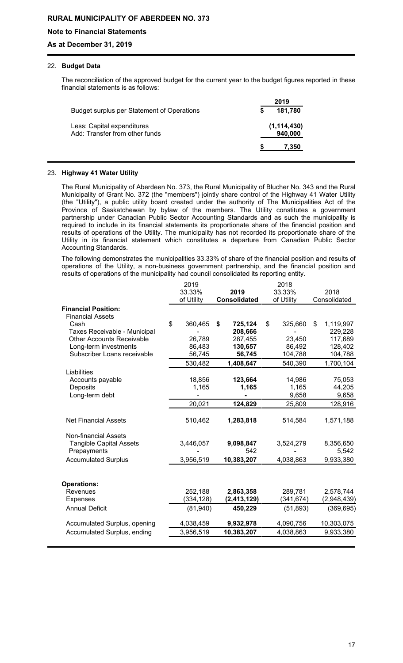### **Note to Financial Statements**

### **As at December 31, 2019**

### 22. **Budget Data**

The reconciliation of the approved budget for the current year to the budget figures reported in these financial statements is as follows:

|                                                              | 2019                     |
|--------------------------------------------------------------|--------------------------|
| Budget surplus per Statement of Operations                   | 181,780<br>S             |
| Less: Capital expenditures<br>Add: Transfer from other funds | (1, 114, 430)<br>940,000 |
|                                                              | 7,350                    |

### 23. **Highway 41 Water Utility**

The Rural Municipality of Aberdeen No. 373, the Rural Municipality of Blucher No. 343 and the Rural Municipality of Grant No. 372 (the "members") jointly share control of the Highway 41 Water Utility (the "Utility"), a public utility board created under the authority of The Municipalities Act of the Province of Saskatchewan by bylaw of the members. The Utility constitutes a government partnership under Canadian Public Sector Accounting Standards and as such the municipality is required to include in its financial statements its proportionate share of the financial position and results of operations of the Utility. The municipality has not recorded its proportionate share of the Utility in its financial statement which constitutes a departure from Canadian Public Sector Accounting Standards.

The following demonstrates the municipalities 33.33% of share of the financial position and results of operations of the Utility, a non-business government partnership, and the financial position and results of operations of the municipality had council consolidated its reporting entity.

|                                  |    | 2019       | 2018 |                     |            |            |                 |
|----------------------------------|----|------------|------|---------------------|------------|------------|-----------------|
|                                  |    | 33.33%     |      | 2019                |            | 33.33%     | 2018            |
|                                  |    | of Utility |      | <b>Consolidated</b> | of Utility |            | Consolidated    |
| <b>Financial Position:</b>       |    |            |      |                     |            |            |                 |
| <b>Financial Assets</b>          |    |            |      |                     |            |            |                 |
| Cash                             | \$ | 360,465    | \$   | 725,124             | \$         | 325,660    | \$<br>1,119,997 |
| Taxes Receivable - Municipal     |    |            |      | 208,666             |            |            | 229,228         |
| <b>Other Accounts Receivable</b> |    | 26,789     |      | 287,455             |            | 23,450     | 117,689         |
| Long-term investments            |    | 86,483     |      | 130,657             |            | 86,492     | 128,402         |
| Subscriber Loans receivable      |    | 56,745     |      | 56,745              |            | 104,788    | 104,788         |
|                                  |    | 530,482    |      | 1,408,647           |            | 540,390    | 1,700,104       |
| Liabilities                      |    |            |      |                     |            |            |                 |
| Accounts payable                 |    | 18,856     |      | 123,664             |            | 14,986     | 75,053          |
| Deposits                         |    | 1,165      |      | 1,165               |            | 1,165      | 44,205          |
| Long-term debt                   |    |            |      |                     |            | 9,658      | 9,658           |
|                                  |    | 20,021     |      | 124,829             |            | 25,809     | 128,916         |
| <b>Net Financial Assets</b>      |    | 510,462    |      | 1,283,818           |            | 514,584    | 1,571,188       |
| <b>Non-financial Assets</b>      |    |            |      |                     |            |            |                 |
| <b>Tangible Capital Assets</b>   |    | 3,446,057  |      | 9,098,847           |            | 3,524,279  | 8,356,650       |
| Prepayments                      |    |            |      | 542                 |            |            | 5,542           |
| <b>Accumulated Surplus</b>       |    | 3,956,519  |      | 10,383,207          |            | 4,038,863  | 9,933,380       |
|                                  |    |            |      |                     |            |            |                 |
| <b>Operations:</b>               |    |            |      |                     |            |            |                 |
| Revenues                         |    | 252,188    |      | 2,863,358           |            | 289,781    | 2,578,744       |
| <b>Expenses</b>                  |    | (334, 128) |      | (2, 413, 129)       |            | (341, 674) | (2,948,439)     |
| <b>Annual Deficit</b>            |    | (81,940)   |      | 450,229             |            | (51, 893)  | (369, 695)      |
| Accumulated Surplus, opening     |    | 4,038,459  |      | 9,932,978           |            | 4,090,756  | 10,303,075      |
| Accumulated Surplus, ending      |    | 3,956,519  |      | 10,383,207          |            | 4,038,863  | 9,933,380       |
|                                  |    |            |      |                     |            |            |                 |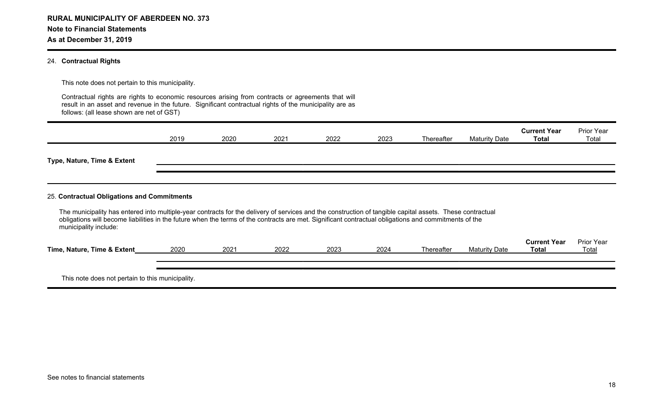#### 24. **Contractual Rights**

This note does not pertain to this municipality.

Contractual rights are rights to economic resources arising from contracts or agreements that will result in an asset and revenue in the future. Significant contractual rights of the municipality are as follows: (all lease shown are net of GST)

|                                                                                                                                                                                                                                                                                                                                             | 2019 | 2020 | 2021 | 2022 | 2023 | Thereafter | <b>Maturity Date</b> | <b>Current Year</b><br><b>Total</b> | <b>Prior Year</b><br>Total |
|---------------------------------------------------------------------------------------------------------------------------------------------------------------------------------------------------------------------------------------------------------------------------------------------------------------------------------------------|------|------|------|------|------|------------|----------------------|-------------------------------------|----------------------------|
| Type, Nature, Time & Extent                                                                                                                                                                                                                                                                                                                 |      |      |      |      |      |            |                      |                                     |                            |
| 25. Contractual Obligations and Commitments                                                                                                                                                                                                                                                                                                 |      |      |      |      |      |            |                      |                                     |                            |
| The municipality has entered into multiple-year contracts for the delivery of services and the construction of tangible capital assets. These contractual<br>obligations will become liabilities in the future when the terms of the contracts are met. Significant contractual obligations and commitments of the<br>municipality include: |      |      |      |      |      |            |                      |                                     |                            |
| Time, Nature, Time & Extent                                                                                                                                                                                                                                                                                                                 | 2020 | 2021 | 2022 | 2023 | 2024 | Thereafter | <b>Maturity Date</b> | <b>Current Year</b><br>Total        | <b>Prior Year</b><br>Total |
| This note does not pertain to this municipality.                                                                                                                                                                                                                                                                                            |      |      |      |      |      |            |                      |                                     |                            |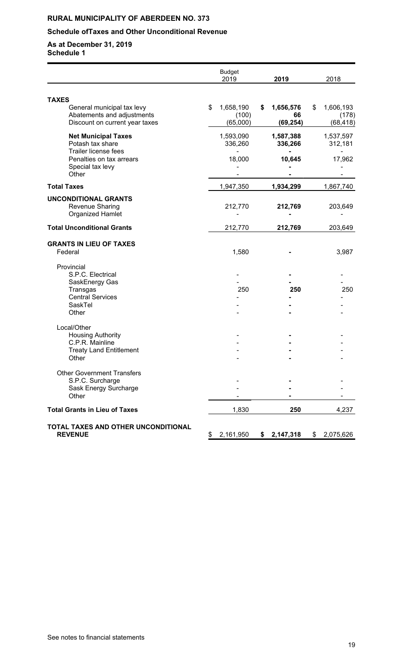## **Schedule ofTaxes and Other Unconditional Revenue**

|                                                                                                                                        | <b>Budget</b><br>2019                | 2019                               | 2018                                  |
|----------------------------------------------------------------------------------------------------------------------------------------|--------------------------------------|------------------------------------|---------------------------------------|
|                                                                                                                                        |                                      |                                    |                                       |
| <b>TAXES</b><br>General municipal tax levy<br>Abatements and adjustments<br>Discount on current year taxes                             | \$<br>1,658,190<br>(100)<br>(65,000) | \$<br>1,656,576<br>66<br>(69, 254) | \$<br>1,606,193<br>(178)<br>(68, 418) |
| <b>Net Municipal Taxes</b><br>Potash tax share<br><b>Trailer license fees</b><br>Penalties on tax arrears<br>Special tax levy<br>Other | 1,593,090<br>336,260<br>18,000       | 1,587,388<br>336,266<br>10,645     | 1,537,597<br>312,181<br>17,962        |
| <b>Total Taxes</b>                                                                                                                     | 1,947,350                            | 1,934,299                          | 1,867,740                             |
| <b>UNCONDITIONAL GRANTS</b><br>Revenue Sharing<br><b>Organized Hamlet</b>                                                              | 212,770                              | 212,769                            | 203,649                               |
| <b>Total Unconditional Grants</b>                                                                                                      | 212,770                              | 212,769                            | 203,649                               |
| <b>GRANTS IN LIEU OF TAXES</b><br>Federal                                                                                              | 1,580                                |                                    | 3,987                                 |
| Provincial<br>S.P.C. Electrical<br>SaskEnergy Gas<br>Transgas<br><b>Central Services</b><br>SaskTel<br>Other                           | 250                                  | 250                                | 250                                   |
| Local/Other<br><b>Housing Authority</b><br>C.P.R. Mainline<br><b>Treaty Land Entitlement</b><br>Other                                  |                                      |                                    |                                       |
| <b>Other Government Transfers</b><br>S.P.C. Surcharge<br>Sask Energy Surcharge<br>Other                                                |                                      |                                    |                                       |
| <b>Total Grants in Lieu of Taxes</b>                                                                                                   | 1,830                                | 250                                | 4,237                                 |
| TOTAL TAXES AND OTHER UNCONDITIONAL<br><b>REVENUE</b>                                                                                  | \$2,161,950                          | \$2,147,318                        | \$<br>2,075,626                       |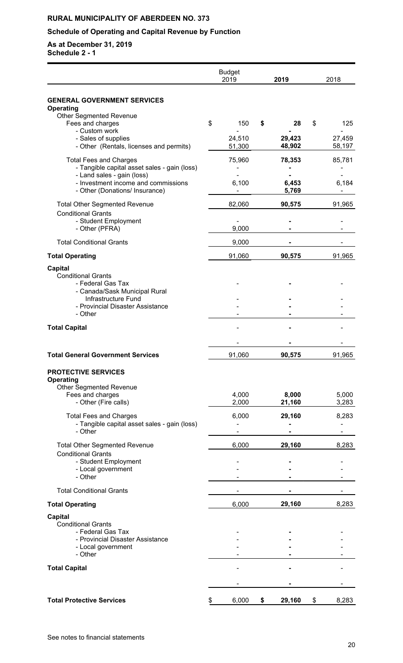## **Schedule of Operating and Capital Revenue by Function**

|                                                                                                     | <b>Budget</b><br>2019 | 2019             | 2018             |
|-----------------------------------------------------------------------------------------------------|-----------------------|------------------|------------------|
| <b>GENERAL GOVERNMENT SERVICES</b>                                                                  |                       |                  |                  |
| <b>Operating</b><br><b>Other Segmented Revenue</b><br>Fees and charges                              | \$<br>150             | \$<br>28         | \$<br>125        |
| - Custom work<br>- Sales of supplies<br>- Other (Rentals, licenses and permits)                     | 24,510<br>51,300      | 29,423<br>48,902 | 27,459<br>58,197 |
| <b>Total Fees and Charges</b><br>- Tangible capital asset sales - gain (loss)                       | 75,960                | 78,353           | 85,781           |
| - Land sales - gain (loss)<br>- Investment income and commissions<br>- Other (Donations/ Insurance) | 6,100                 | 6,453<br>5,769   | 6,184            |
| <b>Total Other Segmented Revenue</b><br><b>Conditional Grants</b>                                   | 82,060                | 90,575           | 91,965           |
| - Student Employment<br>- Other (PFRA)                                                              | 9,000                 |                  |                  |
| <b>Total Conditional Grants</b>                                                                     | 9,000                 |                  |                  |
| <b>Total Operating</b>                                                                              | 91,060                | 90,575           | 91,965           |
| <b>Capital</b><br><b>Conditional Grants</b><br>- Federal Gas Tax                                    |                       |                  |                  |
| - Canada/Sask Municipal Rural<br>Infrastructure Fund                                                |                       |                  |                  |
| - Provincial Disaster Assistance<br>- Other                                                         |                       |                  |                  |
| <b>Total Capital</b>                                                                                |                       |                  |                  |
|                                                                                                     |                       |                  |                  |
| <b>Total General Government Services</b>                                                            | 91,060                | 90,575           | 91,965           |
| <b>PROTECTIVE SERVICES</b><br><b>Operating</b>                                                      |                       |                  |                  |
| <b>Other Segmented Revenue</b><br>Fees and charges                                                  | 4,000                 | 8,000            | 5,000            |
| - Other (Fire calls)                                                                                | 2,000                 | 21,160           | 3,283            |
| <b>Total Fees and Charges</b><br>- Tangible capital asset sales - gain (loss)                       | 6,000                 | 29,160           | 8,283            |
| - Other                                                                                             |                       |                  | ۰                |
| <b>Total Other Segmented Revenue</b><br><b>Conditional Grants</b>                                   | 6,000                 | 29,160           | 8,283            |
| - Student Employment<br>- Local government<br>- Other                                               |                       |                  |                  |
| <b>Total Conditional Grants</b>                                                                     |                       |                  |                  |
|                                                                                                     | 6,000                 | 29,160           | 8,283            |
| <b>Total Operating</b><br><b>Capital</b>                                                            |                       |                  |                  |
| <b>Conditional Grants</b>                                                                           |                       |                  |                  |
| - Federal Gas Tax<br>- Provincial Disaster Assistance                                               |                       |                  |                  |
| - Local government<br>- Other                                                                       |                       |                  |                  |
|                                                                                                     |                       |                  |                  |
| <b>Total Capital</b>                                                                                |                       |                  |                  |
|                                                                                                     |                       |                  |                  |
| <b>Total Protective Services</b>                                                                    | \$<br>6,000           | \$<br>29,160     | \$<br>8,283      |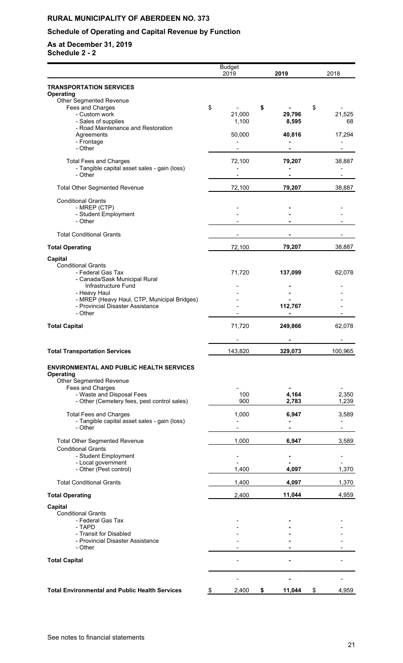## **Schedule of Operating and Capital Revenue by Function**

|                                                                                 | <b>Budget</b><br>2019              | 2019         | 2018 |                          |
|---------------------------------------------------------------------------------|------------------------------------|--------------|------|--------------------------|
| <b>TRANSPORTATION SERVICES</b><br>Operating                                     |                                    |              |      |                          |
| Other Segmented Revenue                                                         |                                    |              |      |                          |
| Fees and Charges                                                                | \$                                 | \$           | \$   |                          |
| - Custom work                                                                   | 21,000                             | 29,796       |      | 21,525                   |
| - Sales of supplies                                                             | 1,100                              | 8,595        |      | 68                       |
| - Road Maintenance and Restoration<br>Agreements                                | 50,000                             | 40,816       |      | 17,294                   |
| - Frontage                                                                      |                                    |              |      |                          |
| - Other                                                                         |                                    |              |      | -                        |
|                                                                                 |                                    |              |      |                          |
| <b>Total Fees and Charges</b><br>- Tangible capital asset sales - gain (loss)   | 72,100<br>$\overline{\phantom{a}}$ | 79,207       |      | 38,887                   |
| - Other                                                                         |                                    |              |      |                          |
|                                                                                 |                                    |              |      |                          |
| <b>Total Other Segmented Revenue</b>                                            | 72,100                             | 79,207       |      | 38,887                   |
| <b>Conditional Grants</b>                                                       |                                    |              |      |                          |
| - MREP (CTP)                                                                    |                                    |              |      |                          |
| - Student Employment                                                            |                                    |              |      |                          |
| - Other                                                                         |                                    |              |      |                          |
| <b>Total Conditional Grants</b>                                                 |                                    |              |      |                          |
|                                                                                 |                                    |              |      |                          |
| <b>Total Operating</b>                                                          | 72,100                             | 79,207       |      | 38,887                   |
|                                                                                 |                                    |              |      |                          |
| <b>Capital</b><br><b>Conditional Grants</b>                                     |                                    |              |      |                          |
| - Federal Gas Tax                                                               | 71,720                             | 137,099      |      | 62,078                   |
| - Canada/Sask Municipal Rural                                                   |                                    |              |      |                          |
| Infrastructure Fund                                                             |                                    |              |      |                          |
| - Heavy Haul                                                                    |                                    |              |      |                          |
| - MREP (Heavy Haul, CTP, Municipal Bridges)<br>- Provincial Disaster Assistance |                                    | 112,767      |      |                          |
| - Other                                                                         |                                    |              |      |                          |
|                                                                                 |                                    |              |      |                          |
| <b>Total Capital</b>                                                            | 71,720                             | 249,866      |      | 62,078                   |
|                                                                                 |                                    |              |      |                          |
| <b>Total Transportation Services</b>                                            | 143,820                            | 329,073      |      | 100,965                  |
| <b>ENVIRONMENTAL AND PUBLIC HEALTH SERVICES</b>                                 |                                    |              |      |                          |
| Operating                                                                       |                                    |              |      |                          |
| Other Segmented Revenue                                                         |                                    |              |      |                          |
| Fees and Charges                                                                |                                    |              |      |                          |
| - Waste and Disposal Fees                                                       | 100                                | 4,164        |      | 2,350                    |
| - Other (Cemetery fees, pest control sales)                                     | 900                                | 2,783        |      | 1,239                    |
| <b>Total Fees and Charges</b>                                                   | 1,000                              | 6,947        |      | 3,589                    |
| - Tangible capital asset sales - gain (loss)                                    |                                    |              |      |                          |
| - Other                                                                         |                                    | ۰            |      | $\overline{\phantom{0}}$ |
| <b>Total Other Segmented Revenue</b>                                            | 1,000                              | 6,947        |      | 3,589                    |
| <b>Conditional Grants</b>                                                       |                                    |              |      |                          |
| - Student Employment                                                            |                                    |              |      |                          |
| - Local government                                                              |                                    |              |      |                          |
| - Other (Pest control)                                                          | 1,400                              | 4,097        |      | 1,370                    |
| <b>Total Conditional Grants</b>                                                 | 1,400                              |              |      | 1,370                    |
|                                                                                 |                                    | 4,097        |      |                          |
| <b>Total Operating</b>                                                          | 2,400                              | 11,044       |      | 4,959                    |
| <b>Capital</b>                                                                  |                                    |              |      |                          |
| Conditional Grants                                                              |                                    |              |      |                          |
| - Federal Gas Tax                                                               |                                    |              |      |                          |
| - TAPD                                                                          |                                    |              |      |                          |
| - Transit for Disabled                                                          |                                    |              |      |                          |
| - Provincial Disaster Assistance<br>- Other                                     |                                    |              |      |                          |
|                                                                                 |                                    |              |      |                          |
| <b>Total Capital</b>                                                            |                                    |              |      |                          |
|                                                                                 |                                    |              |      |                          |
|                                                                                 |                                    |              |      |                          |
| <b>Total Environmental and Public Health Services</b>                           | 2,400<br>\$                        | \$<br>11,044 | \$   | 4,959                    |
|                                                                                 |                                    |              |      |                          |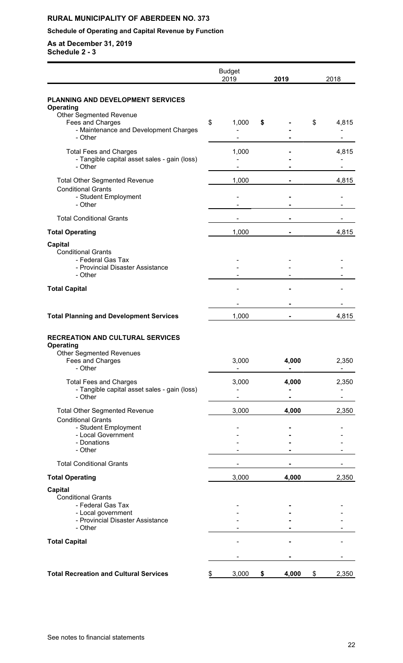## **Schedule of Operating and Capital Revenue by Function**

|                                                                                                                                           | <b>Budget</b><br>2019 | 2019        | 2018        |
|-------------------------------------------------------------------------------------------------------------------------------------------|-----------------------|-------------|-------------|
| PLANNING AND DEVELOPMENT SERVICES                                                                                                         |                       |             |             |
| Operating<br>Other Segmented Revenue<br>Fees and Charges<br>- Maintenance and Development Charges<br>- Other                              | \$<br>1,000           | \$          | \$<br>4,815 |
| <b>Total Fees and Charges</b><br>- Tangible capital asset sales - gain (loss)<br>- Other                                                  | 1,000                 |             | 4,815       |
| <b>Total Other Segmented Revenue</b><br><b>Conditional Grants</b><br>- Student Employment<br>- Other                                      | 1,000                 |             | 4,815       |
| <b>Total Conditional Grants</b>                                                                                                           |                       |             |             |
| <b>Total Operating</b>                                                                                                                    | 1,000                 |             | 4,815       |
| <b>Capital</b><br><b>Conditional Grants</b><br>- Federal Gas Tax<br>- Provincial Disaster Assistance<br>- Other                           |                       |             |             |
| <b>Total Capital</b>                                                                                                                      |                       |             |             |
|                                                                                                                                           |                       |             |             |
| <b>Total Planning and Development Services</b>                                                                                            | 1,000                 |             | 4,815       |
| <b>RECREATION AND CULTURAL SERVICES</b><br><b>Operating</b><br><b>Other Segmented Revenues</b><br>Fees and Charges<br>- Other             | 3,000                 | 4,000       | 2,350<br>-  |
| <b>Total Fees and Charges</b><br>- Tangible capital asset sales - gain (loss)<br>- Other                                                  | 3,000                 | 4,000       | 2,350       |
| <b>Total Other Segmented Revenue</b><br><b>Conditional Grants</b><br>- Student Employment<br>- Local Government<br>- Donations<br>- Other | 3,000                 | 4,000       | 2,350       |
| <b>Total Conditional Grants</b>                                                                                                           |                       |             |             |
| <b>Total Operating</b>                                                                                                                    | 3,000                 | 4,000       | 2,350       |
| <b>Capital</b><br><b>Conditional Grants</b><br>- Federal Gas Tax<br>- Local government<br>- Provincial Disaster Assistance<br>- Other     |                       |             |             |
| <b>Total Capital</b>                                                                                                                      |                       |             |             |
|                                                                                                                                           |                       |             |             |
| <b>Total Recreation and Cultural Services</b>                                                                                             | \$<br>3,000           | \$<br>4,000 | \$<br>2,350 |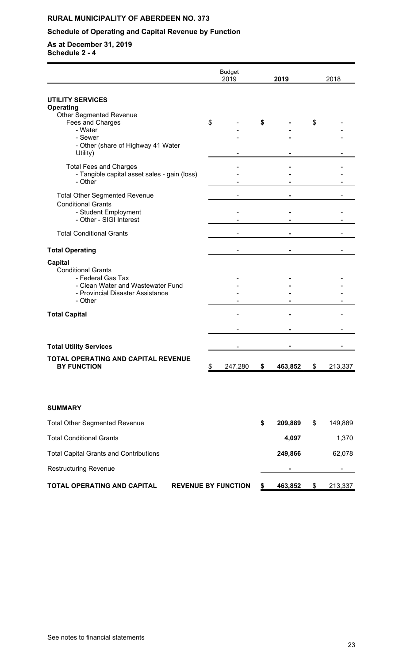## **Schedule of Operating and Capital Revenue by Function**

|                                                                                                                                                      |                            | <b>Budget</b><br>2019 | 2019          | 2018          |
|------------------------------------------------------------------------------------------------------------------------------------------------------|----------------------------|-----------------------|---------------|---------------|
| <b>UTILITY SERVICES</b>                                                                                                                              |                            |                       |               |               |
| Operating<br><b>Other Segmented Revenue</b><br>Fees and Charges<br>- Water                                                                           | \$                         |                       | \$            | \$            |
| - Sewer<br>- Other (share of Highway 41 Water<br>Utility)                                                                                            |                            |                       |               |               |
| <b>Total Fees and Charges</b><br>- Tangible capital asset sales - gain (loss)<br>- Other                                                             |                            |                       |               |               |
| <b>Total Other Segmented Revenue</b><br><b>Conditional Grants</b><br>- Student Employment<br>- Other - SIGI Interest                                 |                            |                       |               |               |
| <b>Total Conditional Grants</b>                                                                                                                      |                            |                       |               |               |
| <b>Total Operating</b>                                                                                                                               |                            |                       |               |               |
| <b>Capital</b><br><b>Conditional Grants</b><br>- Federal Gas Tax<br>- Clean Water and Wastewater Fund<br>- Provincial Disaster Assistance<br>- Other |                            |                       |               |               |
| <b>Total Capital</b>                                                                                                                                 |                            |                       |               |               |
| <b>Total Utility Services</b>                                                                                                                        |                            |                       |               |               |
| TOTAL OPERATING AND CAPITAL REVENUE<br><b>BY FUNCTION</b>                                                                                            | \$                         | 247,280               | \$<br>463,852 | \$<br>213,337 |
| <b>SUMMARY</b>                                                                                                                                       |                            |                       |               |               |
| <b>Total Other Segmented Revenue</b>                                                                                                                 |                            |                       | \$<br>209,889 | \$<br>149,889 |
| <b>Total Conditional Grants</b>                                                                                                                      |                            |                       | 4,097         | 1,370         |
| <b>Total Capital Grants and Contributions</b>                                                                                                        |                            |                       | 249,866       | 62,078        |
| <b>Restructuring Revenue</b>                                                                                                                         |                            |                       |               |               |
| TOTAL OPERATING AND CAPITAL                                                                                                                          | <b>REVENUE BY FUNCTION</b> |                       | \$<br>463,852 | \$<br>213,337 |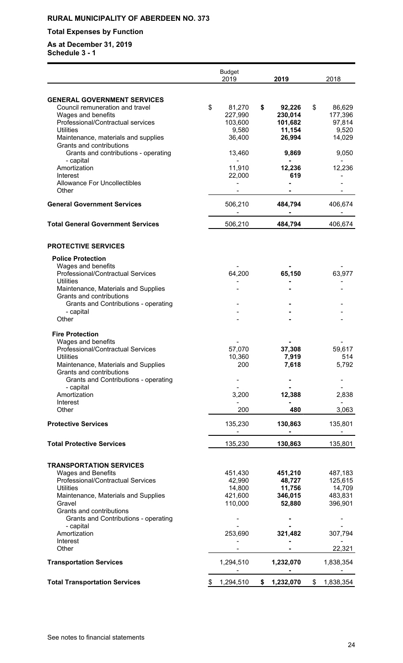## **Total Expenses by Function**

|                                                                  |     | <b>Budget</b><br>2019 | 2019            | 2018            |
|------------------------------------------------------------------|-----|-----------------------|-----------------|-----------------|
|                                                                  |     |                       |                 |                 |
| <b>GENERAL GOVERNMENT SERVICES</b>                               |     |                       |                 |                 |
| Council remuneration and travel                                  | \$  | 81,270                | \$<br>92,226    | \$<br>86,629    |
| Wages and benefits                                               |     | 227,990               | 230,014         | 177,396         |
| Professional/Contractual services                                |     | 103,600               | 101,682         | 97,814          |
| <b>Utilities</b>                                                 |     | 9,580                 | 11,154          | 9,520           |
| Maintenance, materials and supplies                              |     | 36,400                | 26,994          | 14,029          |
| Grants and contributions                                         |     |                       |                 |                 |
| Grants and contributions - operating                             |     | 13,460                | 9,869           | 9,050           |
| - capital<br>Amortization                                        |     | 11,910                | 12,236          | 12,236          |
| Interest                                                         |     | 22,000                | 619             |                 |
| <b>Allowance For Uncollectibles</b>                              |     |                       |                 |                 |
| Other                                                            |     |                       |                 |                 |
|                                                                  |     |                       |                 |                 |
| <b>General Government Services</b>                               |     | 506,210               | 484,794         | 406,674         |
| <b>Total General Government Services</b>                         |     | 506,210               | 484,794         | 406,674         |
| <b>PROTECTIVE SERVICES</b>                                       |     |                       |                 |                 |
| <b>Police Protection</b>                                         |     |                       |                 |                 |
| Wages and benefits                                               |     |                       |                 |                 |
| Professional/Contractual Services                                |     | 64,200                | 65,150          | 63,977          |
| <b>Utilities</b>                                                 |     |                       |                 |                 |
| Maintenance, Materials and Supplies                              |     |                       |                 |                 |
| Grants and contributions                                         |     |                       |                 |                 |
| Grants and Contributions - operating<br>- capital                |     |                       |                 |                 |
| Other                                                            |     |                       |                 |                 |
|                                                                  |     |                       |                 |                 |
| <b>Fire Protection</b>                                           |     |                       |                 |                 |
| Wages and benefits                                               |     |                       |                 |                 |
| Professional/Contractual Services                                |     | 57,070                | 37,308          | 59,617          |
| <b>Utilities</b>                                                 |     | 10,360                | 7,919           | 514             |
| Maintenance, Materials and Supplies                              |     | 200                   | 7,618           | 5,792           |
| Grants and contributions<br>Grants and Contributions - operating |     |                       |                 |                 |
| - capital                                                        |     |                       |                 |                 |
| Amortization                                                     |     | 3,200                 | 12,388          | 2,838           |
| Interest                                                         |     |                       |                 |                 |
| Other                                                            |     | 200                   | 480             | 3,063           |
|                                                                  |     |                       |                 |                 |
| <b>Protective Services</b>                                       |     | 135,230               | 130,863         | 135,801         |
| <b>Total Protective Services</b>                                 |     | 135,230               | 130,863         | 135,801         |
|                                                                  |     |                       |                 |                 |
| <b>TRANSPORTATION SERVICES</b>                                   |     |                       |                 |                 |
| <b>Wages and Benefits</b>                                        |     | 451,430               | 451,210         | 487,183         |
| Professional/Contractual Services                                |     | 42,990                | 48,727          | 125,615         |
| <b>Utilities</b>                                                 |     | 14,800                | 11,756          | 14,709          |
| Maintenance, Materials and Supplies                              |     | 421,600               | 346,015         | 483,831         |
| Gravel                                                           |     | 110,000               | 52,880          | 396,901         |
| Grants and contributions                                         |     |                       |                 |                 |
| Grants and Contributions - operating<br>- capital                |     |                       |                 |                 |
| Amortization                                                     |     | 253,690               | 321,482         | 307,794         |
| Interest                                                         |     |                       |                 |                 |
| Other                                                            |     |                       |                 | 22,321          |
|                                                                  |     |                       |                 |                 |
| <b>Transportation Services</b>                                   |     | 1,294,510             | 1,232,070       | 1,838,354       |
|                                                                  |     |                       |                 |                 |
| <b>Total Transportation Services</b>                             | SS. | 1,294,510             | \$<br>1,232,070 | \$<br>1,838,354 |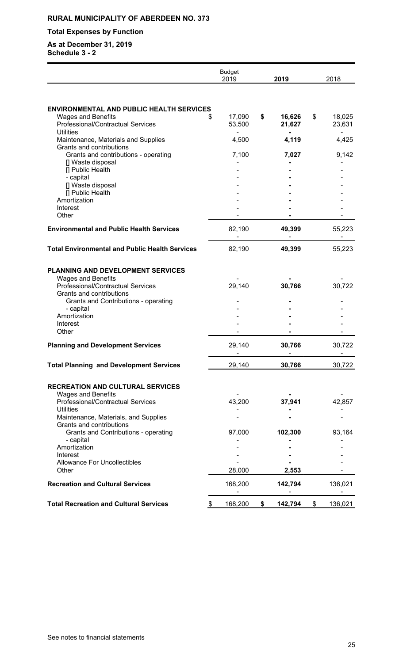## **Total Expenses by Function**

|                                                                                                                                | <b>Budget</b><br>2019 | 2019                   | 2018 |                  |
|--------------------------------------------------------------------------------------------------------------------------------|-----------------------|------------------------|------|------------------|
|                                                                                                                                |                       |                        |      |                  |
| <b>ENVIRONMENTAL AND PUBLIC HEALTH SERVICES</b><br><b>Wages and Benefits</b><br>£.<br><b>Professional/Contractual Services</b> | 17,090<br>53,500      | \$<br>16,626<br>21,627 | \$   | 18,025<br>23,631 |
| <b>Utilities</b><br>Maintenance, Materials and Supplies                                                                        | 4,500                 | 4,119                  |      | 4,425            |
| Grants and contributions<br>Grants and contributions - operating<br>[] Waste disposal                                          | 7,100                 | 7,027                  |      | 9,142            |
| [] Public Health<br>- capital                                                                                                  |                       |                        |      |                  |
| [] Waste disposal<br>[] Public Health                                                                                          |                       |                        |      |                  |
| Amortization<br>Interest                                                                                                       |                       |                        |      |                  |
| Other                                                                                                                          |                       |                        |      |                  |
| <b>Environmental and Public Health Services</b>                                                                                | 82,190                | 49,399                 |      | 55,223           |
| <b>Total Environmental and Public Health Services</b>                                                                          | 82,190                | 49,399                 |      | 55,223           |
| PLANNING AND DEVELOPMENT SERVICES                                                                                              |                       |                        |      |                  |
| <b>Wages and Benefits</b><br>Professional/Contractual Services<br>Grants and contributions                                     | 29,140                | 30,766                 |      | 30,722           |
| Grants and Contributions - operating<br>- capital                                                                              |                       |                        |      |                  |
| Amortization<br>Interest                                                                                                       |                       |                        |      |                  |
| Other                                                                                                                          |                       |                        |      |                  |
| <b>Planning and Development Services</b>                                                                                       | 29,140                | 30,766                 |      | 30,722           |
| <b>Total Planning and Development Services</b>                                                                                 | 29,140                | 30,766                 |      | 30,722           |
| <b>RECREATION AND CULTURAL SERVICES</b>                                                                                        |                       |                        |      |                  |
| <b>Wages and Benefits</b><br>Professional/Contractual Services<br><b>Utilities</b>                                             | 43,200                | 37,941                 |      | 42,857           |
| Maintenance, Materials, and Supplies<br>Grants and contributions                                                               |                       |                        |      |                  |
| Grants and Contributions - operating<br>- capital                                                                              | 97,000                | 102,300                |      | 93,164           |
| Amortization<br>Interest                                                                                                       |                       |                        |      |                  |
| <b>Allowance For Uncollectibles</b><br>Other                                                                                   | 28,000                | 2,553                  |      |                  |
| <b>Recreation and Cultural Services</b>                                                                                        | 168,200               | 142,794                |      | 136,021          |
| <b>Total Recreation and Cultural Services</b><br>\$                                                                            | 168,200               | \$<br>142,794          | \$   | 136,021          |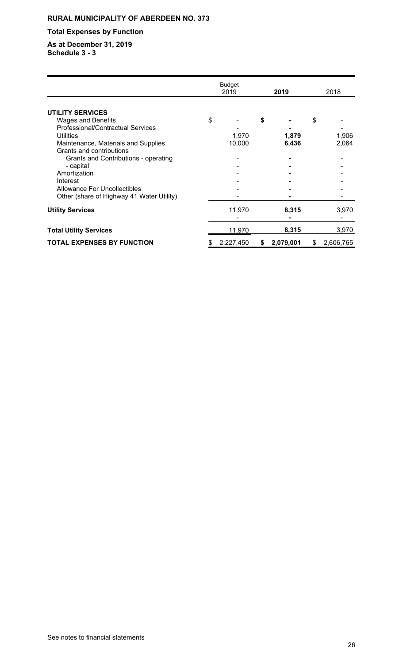## **Total Expenses by Function**

|                                           | <b>Budget</b><br>2019 | 2019            | 2018            |
|-------------------------------------------|-----------------------|-----------------|-----------------|
|                                           |                       |                 |                 |
| <b>UTILITY SERVICES</b>                   |                       |                 |                 |
| <b>Wages and Benefits</b>                 | \$                    | \$              | \$              |
| Professional/Contractual Services         |                       |                 |                 |
| Utilities                                 | 1,970                 | 1,879           | 1,906           |
| Maintenance, Materials and Supplies       | 10,000                | 6,436           | 2,064           |
| Grants and contributions                  |                       |                 |                 |
| Grants and Contributions - operating      |                       |                 |                 |
| - capital                                 |                       |                 |                 |
| Amortization                              |                       |                 |                 |
| Interest                                  |                       |                 |                 |
| Allowance For Uncollectibles              |                       |                 |                 |
| Other (share of Highway 41 Water Utility) |                       |                 |                 |
| <b>Utility Services</b>                   | 11,970                | 8,315           | 3,970           |
|                                           |                       |                 |                 |
| <b>Total Utility Services</b>             | 11,970                | 8,315           | 3,970           |
| <b>TOTAL EXPENSES BY FUNCTION</b>         | \$<br>2,227,450       | \$<br>2,079,001 | \$<br>2,606,765 |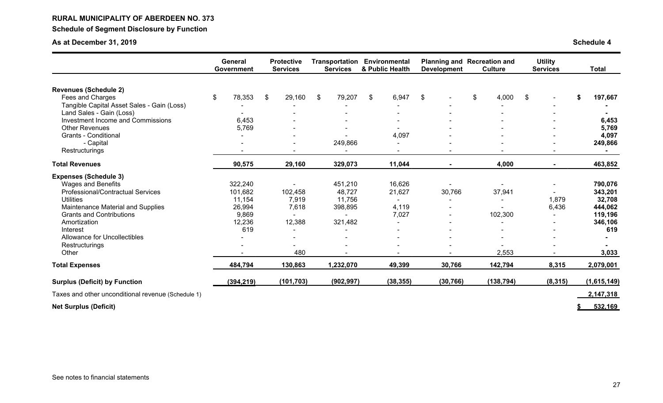**Schedule of Segment Disclosure by Function**

|                                                               | General<br>Government | <b>Protective</b><br><b>Services</b> | Transportation<br><b>Services</b> | Environmental<br>& Public Health | <b>Development</b> | <b>Planning and Recreation and</b><br><b>Culture</b> | <b>Utility</b><br><b>Services</b> | <b>Total</b>   |
|---------------------------------------------------------------|-----------------------|--------------------------------------|-----------------------------------|----------------------------------|--------------------|------------------------------------------------------|-----------------------------------|----------------|
|                                                               |                       |                                      |                                   |                                  |                    |                                                      |                                   |                |
| <b>Revenues (Schedule 2)</b>                                  |                       |                                      |                                   |                                  |                    |                                                      |                                   |                |
| Fees and Charges                                              | \$<br>78,353          | $\sqrt[6]{\frac{1}{2}}$<br>29,160    | \$<br>79,207                      | \$<br>6,947                      | \$                 | $\sqrt[6]{\frac{1}{2}}$<br>4,000                     | \$                                | 197,667        |
| Tangible Capital Asset Sales - Gain (Loss)                    |                       |                                      |                                   |                                  |                    |                                                      |                                   |                |
| Land Sales - Gain (Loss)<br>Investment Income and Commissions |                       |                                      |                                   |                                  |                    |                                                      |                                   |                |
| <b>Other Revenues</b>                                         | 6,453                 |                                      |                                   |                                  |                    |                                                      |                                   | 6,453          |
| <b>Grants - Conditional</b>                                   | 5,769                 |                                      |                                   | 4,097                            |                    |                                                      |                                   | 5,769<br>4,097 |
|                                                               |                       |                                      |                                   |                                  |                    |                                                      |                                   |                |
| - Capital                                                     |                       |                                      | 249,866                           |                                  |                    |                                                      |                                   | 249,866        |
| Restructurings                                                |                       |                                      |                                   | $\overline{\phantom{a}}$         |                    |                                                      |                                   |                |
| <b>Total Revenues</b>                                         | 90,575                | 29,160                               | 329,073                           | 11,044                           |                    | 4,000                                                | ٠                                 | 463,852        |
| <b>Expenses (Schedule 3)</b>                                  |                       |                                      |                                   |                                  |                    |                                                      |                                   |                |
| <b>Wages and Benefits</b>                                     | 322,240               |                                      | 451,210                           | 16,626                           |                    |                                                      |                                   | 790,076        |
| Professional/Contractual Services                             | 101,682               | 102,458                              | 48,727                            | 21,627                           | 30,766             | 37,941                                               |                                   | 343,201        |
| <b>Utilities</b>                                              | 11,154                | 7,919                                | 11,756                            | $\sim$                           | $\blacksquare$     |                                                      | 1,879                             | 32,708         |
| Maintenance Material and Supplies                             | 26,994                | 7,618                                | 398,895                           | 4,119                            |                    |                                                      | 6,436                             | 444,062        |
| <b>Grants and Contributions</b>                               | 9,869                 |                                      |                                   | 7,027                            |                    | 102,300                                              |                                   | 119,196        |
| Amortization                                                  | 12,236                | 12,388                               | 321,482                           |                                  |                    |                                                      |                                   | 346,106        |
| Interest                                                      | 619                   |                                      |                                   | $\blacksquare$                   |                    |                                                      |                                   | 619            |
| Allowance for Uncollectibles                                  |                       |                                      |                                   |                                  |                    |                                                      |                                   |                |
| Restructurings                                                |                       |                                      |                                   |                                  |                    |                                                      |                                   |                |
| Other                                                         |                       | 480                                  |                                   |                                  |                    | 2,553                                                |                                   | 3,033          |
| <b>Total Expenses</b>                                         | 484,794               | 130,863                              | 1,232,070                         | 49,399                           | 30,766             | 142,794                                              | 8,315                             | 2,079,001      |
| <b>Surplus (Deficit) by Function</b>                          | (394, 219)            | (101, 703)                           | (902, 997)                        | (38, 355)                        | (30, 766)          | (138, 794)                                           | (8, 315)                          | (1,615,149)    |
| Taxes and other unconditional revenue (Schedule 1)            |                       |                                      |                                   |                                  |                    |                                                      |                                   | 2,147,318      |
| <b>Net Surplus (Deficit)</b>                                  |                       |                                      |                                   |                                  |                    |                                                      |                                   | 532.169        |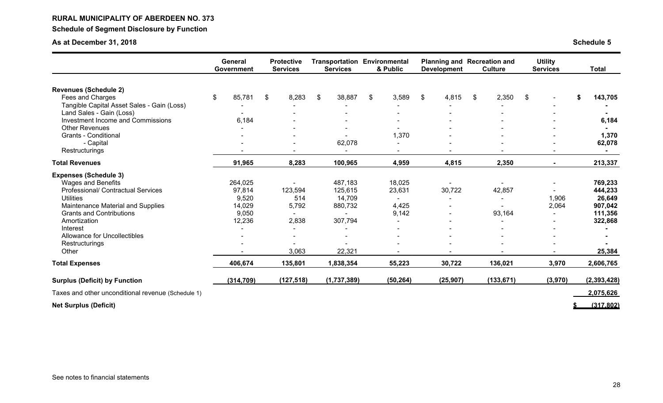## **RURAL MUNICIPALITY OF ABERDEEN NO. 373 Schedule of Segment Disclosure by Function**

## **As at December 31, 2018 Schedule 5**

|                                                    | General<br><b>Government</b> | <b>Protective</b><br><b>Services</b> | <b>Services</b> | <b>Transportation Environmental</b><br>& Public | <b>Development</b> | Planning and Recreation and<br><b>Culture</b> | <b>Utility</b><br><b>Services</b> | <b>Total</b>  |
|----------------------------------------------------|------------------------------|--------------------------------------|-----------------|-------------------------------------------------|--------------------|-----------------------------------------------|-----------------------------------|---------------|
|                                                    |                              |                                      |                 |                                                 |                    |                                               |                                   |               |
| <b>Revenues (Schedule 2)</b><br>Fees and Charges   | \$<br>85,781                 | 8,283<br>\$                          | \$<br>38,887    | \$<br>3,589                                     | \$<br>4,815        | 2,350<br>\$                                   | \$                                |               |
| Tangible Capital Asset Sales - Gain (Loss)         |                              |                                      |                 |                                                 |                    |                                               |                                   | 143,705       |
| Land Sales - Gain (Loss)                           |                              |                                      |                 |                                                 |                    |                                               |                                   |               |
| Investment Income and Commissions                  | 6,184                        |                                      |                 |                                                 |                    |                                               |                                   | 6,184         |
| <b>Other Revenues</b>                              |                              |                                      |                 |                                                 |                    |                                               |                                   |               |
| <b>Grants - Conditional</b>                        |                              |                                      |                 | 1,370                                           |                    |                                               |                                   | 1,370         |
| - Capital                                          |                              |                                      | 62,078          |                                                 |                    |                                               |                                   | 62,078        |
| Restructurings                                     |                              |                                      |                 |                                                 |                    |                                               |                                   | $\sim$        |
| <b>Total Revenues</b>                              | 91,965                       | 8,283                                | 100,965         | 4,959                                           | 4,815              | 2,350                                         |                                   | 213,337       |
| <b>Expenses (Schedule 3)</b>                       |                              |                                      |                 |                                                 |                    |                                               |                                   |               |
| <b>Wages and Benefits</b>                          | 264,025                      |                                      | 487,183         | 18,025                                          |                    |                                               |                                   | 769,233       |
| <b>Professional/ Contractual Services</b>          | 97,814                       | 123,594                              | 125,615         | 23,631                                          | 30,722             | 42,857                                        |                                   | 444,233       |
| <b>Utilities</b>                                   | 9,520                        | 514                                  | 14,709          | $\sim$                                          |                    |                                               | 1,906                             | 26,649        |
| Maintenance Material and Supplies                  | 14,029                       | 5,792                                | 880,732         | 4,425                                           |                    |                                               | 2,064                             | 907,042       |
| <b>Grants and Contributions</b>                    | 9,050                        |                                      |                 | 9,142                                           |                    | 93,164                                        |                                   | 111,356       |
| Amortization                                       | 12,236                       | 2,838                                | 307,794         |                                                 |                    |                                               |                                   | 322,868       |
| Interest                                           |                              |                                      |                 |                                                 |                    |                                               |                                   |               |
| Allowance for Uncollectibles                       |                              |                                      |                 |                                                 |                    |                                               |                                   |               |
| Restructurings                                     |                              |                                      |                 |                                                 |                    |                                               |                                   |               |
| Other                                              |                              | 3,063                                | 22,321          |                                                 |                    |                                               |                                   | 25,384        |
| <b>Total Expenses</b>                              | 406,674                      | 135,801                              | 1,838,354       | 55,223                                          | 30,722             | 136,021                                       | 3,970                             | 2,606,765     |
| <b>Surplus (Deficit) by Function</b>               | (314, 709)                   | (127, 518)                           | (1,737,389)     | (50, 264)                                       | (25, 907)          | (133, 671)                                    | (3,970)                           | (2, 393, 428) |
| Taxes and other unconditional revenue (Schedule 1) |                              |                                      |                 |                                                 |                    |                                               |                                   | 2,075,626     |
| <b>Net Surplus (Deficit)</b>                       |                              |                                      |                 |                                                 |                    |                                               |                                   | (317.802)     |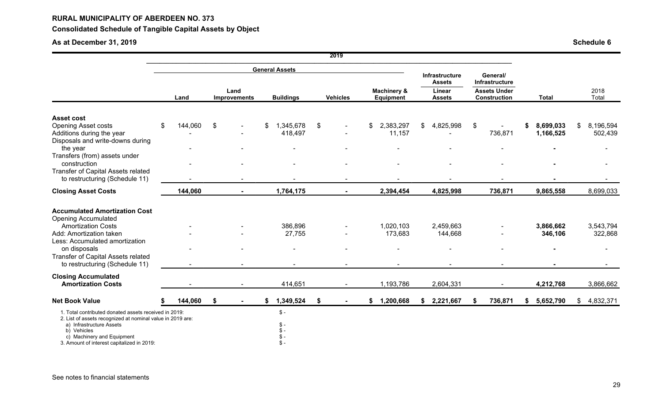## **Consolidated Schedule of Tangible Capital Assets by Object**

|                                                                                                                     |               |               |                             |                                                                                                                                                 |    | 2019                                       |                      |                      |    |                |                      |                      |
|---------------------------------------------------------------------------------------------------------------------|---------------|---------------|-----------------------------|-------------------------------------------------------------------------------------------------------------------------------------------------|----|--------------------------------------------|----------------------|----------------------|----|----------------|----------------------|----------------------|
|                                                                                                                     |               |               |                             | <b>General Assets</b>                                                                                                                           |    |                                            |                      | Infrastructure       |    | General/       |                      |                      |
|                                                                                                                     | Land          |               | Land<br><b>Improvements</b> | Infrastructure<br><b>Assets</b><br><b>Machinery &amp;</b><br>Linear<br><b>Buildings</b><br><b>Vehicles</b><br><b>Equipment</b><br><b>Assets</b> |    | <b>Assets Under</b><br><b>Construction</b> | <b>Total</b>         | 2018<br>Total        |    |                |                      |                      |
| <b>Asset cost</b><br><b>Opening Asset costs</b>                                                                     | \$<br>144,060 | $\frac{1}{2}$ |                             | 1,345,678<br>\$                                                                                                                                 | \$ |                                            | \$<br>2,383,297      | \$<br>4,825,998      | \$ |                | 8,699,033            | \$<br>8,196,594      |
| Additions during the year<br>Disposals and write-downs during                                                       |               |               |                             | 418,497                                                                                                                                         |    |                                            | 11,157               |                      |    | 736,871        | 1,166,525            | 502,439              |
| the year<br>Transfers (from) assets under                                                                           |               |               |                             |                                                                                                                                                 |    |                                            |                      |                      |    |                |                      |                      |
| construction<br>Transfer of Capital Assets related<br>to restructuring (Schedule 11)                                |               |               |                             |                                                                                                                                                 |    |                                            |                      |                      |    |                |                      |                      |
| <b>Closing Asset Costs</b>                                                                                          | 144,060       |               |                             | 1,764,175                                                                                                                                       |    |                                            | 2,394,454            | 4,825,998            |    | 736,871        | 9,865,558            | 8,699,033            |
| <b>Accumulated Amortization Cost</b>                                                                                |               |               |                             |                                                                                                                                                 |    |                                            |                      |                      |    |                |                      |                      |
| <b>Opening Accumulated</b><br><b>Amortization Costs</b><br>Add: Amortization taken                                  |               |               |                             | 386,896<br>27,755                                                                                                                               |    |                                            | 1,020,103<br>173,683 | 2,459,663<br>144,668 |    |                | 3,866,662<br>346,106 | 3,543,794<br>322,868 |
| Less: Accumulated amortization<br>on disposals<br>Transfer of Capital Assets related                                |               |               |                             |                                                                                                                                                 |    |                                            |                      |                      |    |                |                      | $\blacksquare$       |
| to restructuring (Schedule 11)                                                                                      |               |               |                             |                                                                                                                                                 |    |                                            |                      |                      |    | $\blacksquare$ |                      |                      |
| <b>Closing Accumulated</b><br><b>Amortization Costs</b>                                                             |               |               |                             | 414,651                                                                                                                                         |    |                                            | 1,193,786            | 2,604,331            |    |                | 4,212,768            | 3,866,662            |
| <b>Net Book Value</b>                                                                                               | 144,060       | \$            |                             | 1,349,524<br>\$                                                                                                                                 | \$ |                                            | \$<br>1,200,668      | \$2,221,667          | \$ | 736,871        | \$<br>5,652,790      | \$4,832,371          |
| 1. Total contributed donated assets received in 2019:<br>2. List of assets recognized at nominal value in 2019 are: |               |               |                             | $\frac{1}{2}$                                                                                                                                   |    |                                            |                      |                      |    |                |                      |                      |
| a) Infrastructure Assets<br>b) Vehicles<br>c) Machinery and Equipment                                               |               |               |                             | $$ -$<br>\$ -<br>$\frac{1}{2}$                                                                                                                  |    |                                            |                      |                      |    |                |                      |                      |
| 3. Amount of interest capitalized in 2019:                                                                          |               |               |                             | $$ -$                                                                                                                                           |    |                                            |                      |                      |    |                |                      |                      |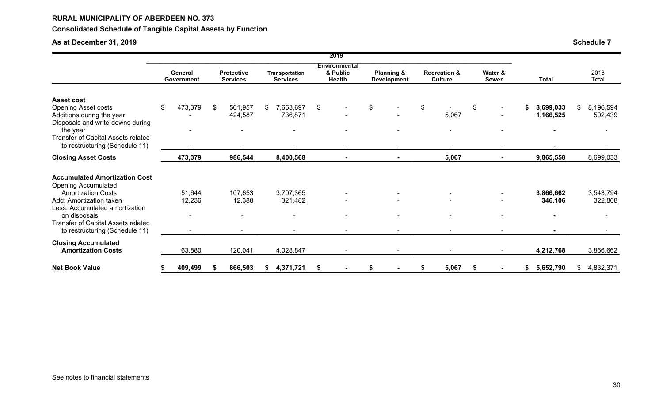## **Consolidated Schedule of Tangible Capital Assets by Function**

|                                                                                                                                                                                                                                                      |                                                                       |                                                      |               |                                   |    | 2019                                              |                                             |                                           |                                |    |                        |                            |
|------------------------------------------------------------------------------------------------------------------------------------------------------------------------------------------------------------------------------------------------------|-----------------------------------------------------------------------|------------------------------------------------------|---------------|-----------------------------------|----|---------------------------------------------------|---------------------------------------------|-------------------------------------------|--------------------------------|----|------------------------|----------------------------|
|                                                                                                                                                                                                                                                      | General<br>Government                                                 | <b>Protective</b><br><b>Services</b>                 |               | Transportation<br><b>Services</b> |    | <b>Environmental</b><br>& Public<br><b>Health</b> | <b>Planning &amp;</b><br><b>Development</b> | <b>Recreation &amp;</b><br><b>Culture</b> | Water &<br><b>Sewer</b>        |    | <b>Total</b>           | 2018<br>Total              |
| <b>Asset cost</b><br><b>Opening Asset costs</b><br>Additions during the year<br>Disposals and write-downs during<br>the year<br>Transfer of Capital Assets related<br>to restructuring (Schedule 11)                                                 | \$<br>473,379<br>$\overline{\phantom{0}}$<br>$\overline{\phantom{a}}$ | \$<br>561,957<br>424,587<br>$\overline{\phantom{a}}$ | $\mathcal{S}$ | 7,663,697<br>736,871              | \$ |                                                   | \$                                          | \$<br>5,067<br>۰<br>$\blacksquare$        | \$<br>$\overline{\phantom{a}}$ | S  | 8,699,033<br>1,166,525 | \$<br>8,196,594<br>502,439 |
| <b>Closing Asset Costs</b>                                                                                                                                                                                                                           | 473,379                                                               | 986,544                                              |               | 8,400,568                         |    | $\blacksquare$                                    | $\blacksquare$                              | 5,067                                     | $\blacksquare$                 |    | 9,865,558              | 8,699,033                  |
| <b>Accumulated Amortization Cost</b><br><b>Opening Accumulated</b><br><b>Amortization Costs</b><br>Add: Amortization taken<br>Less: Accumulated amortization<br>on disposals<br>Transfer of Capital Assets related<br>to restructuring (Schedule 11) | 51,644<br>12,236<br>$\overline{\phantom{0}}$                          | 107,653<br>12,388                                    |               | 3,707,365<br>321,482              |    |                                                   |                                             |                                           | $\overline{\phantom{0}}$       |    | 3,866,662<br>346,106   | 3,543,794<br>322,868       |
| <b>Closing Accumulated</b><br><b>Amortization Costs</b>                                                                                                                                                                                              | 63,880                                                                | 120,041                                              |               | 4,028,847                         |    |                                                   |                                             | $\blacksquare$                            |                                |    | 4,212,768              | 3,866,662                  |
| <b>Net Book Value</b>                                                                                                                                                                                                                                | 409,499                                                               | 866,503                                              | S.            | 4,371,721                         | 5  |                                                   |                                             | 5,067                                     |                                | \$ | 5,652,790              | \$<br>4,832,371            |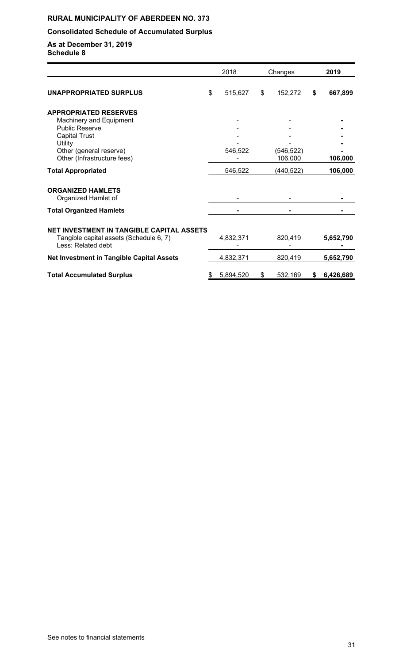## **Consolidated Schedule of Accumulated Surplus**

|                                                                                                                   |    | 2018      | Changes       | 2019            |
|-------------------------------------------------------------------------------------------------------------------|----|-----------|---------------|-----------------|
| UNAPPROPRIATED SURPLUS                                                                                            | \$ | 515,627   | \$<br>152,272 | \$<br>667,899   |
| <b>APPROPRIATED RESERVES</b>                                                                                      |    |           |               |                 |
| Machinery and Equipment<br><b>Public Reserve</b>                                                                  |    |           |               |                 |
| <b>Capital Trust</b>                                                                                              |    |           |               |                 |
| Utility                                                                                                           |    |           |               |                 |
| Other (general reserve)                                                                                           |    | 546,522   | (546, 522)    |                 |
| Other (Infrastructure fees)                                                                                       |    |           | 106,000       | 106,000         |
| <b>Total Appropriated</b>                                                                                         |    | 546,522   | (440, 522)    | 106,000         |
| <b>ORGANIZED HAMLETS</b><br>Organized Hamlet of                                                                   |    |           |               |                 |
| <b>Total Organized Hamlets</b>                                                                                    |    |           |               |                 |
| <b>NET INVESTMENT IN TANGIBLE CAPITAL ASSETS</b><br>Tangible capital assets (Schedule 6, 7)<br>Less: Related debt |    | 4,832,371 | 820,419       | 5,652,790       |
| <b>Net Investment in Tangible Capital Assets</b>                                                                  |    | 4,832,371 | 820,419       | 5,652,790       |
| <b>Total Accumulated Surplus</b>                                                                                  | S  | 5,894,520 | \$<br>532,169 | \$<br>6,426,689 |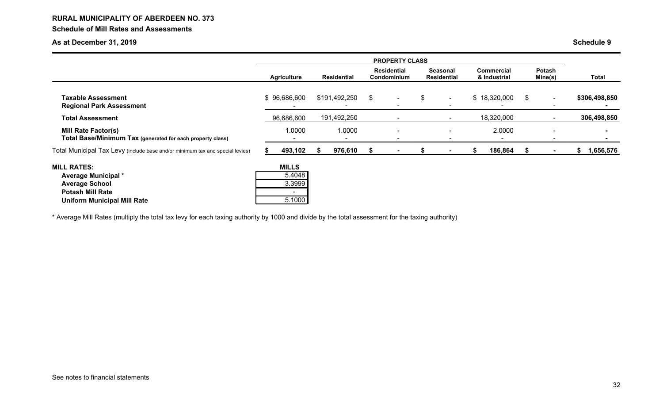## **RURAL MUNICIPALITY OF ABERDEEN NO. 373 Schedule of Mill Rates and Assessments**

## **As at December 31, 2019 Schedule 9**

|                                                                                                                                            | <b>PROPERTY CLASS</b> |                                            |                    |               |                                   |                          |                                       |                          |                                   |              |                          |                          |                 |  |
|--------------------------------------------------------------------------------------------------------------------------------------------|-----------------------|--------------------------------------------|--------------------|---------------|-----------------------------------|--------------------------|---------------------------------------|--------------------------|-----------------------------------|--------------|--------------------------|--------------------------|-----------------|--|
|                                                                                                                                            | <b>Agriculture</b>    |                                            | <b>Residential</b> |               | <b>Residential</b><br>Condominium |                          | <b>Seasonal</b><br><b>Residential</b> |                          | <b>Commercial</b><br>& Industrial |              | <b>Potash</b><br>Mine(s) |                          | Total           |  |
| <b>Taxable Assessment</b><br><b>Regional Park Assessment</b>                                                                               |                       | \$96,686,600                               |                    | \$191,492,250 | \$                                | $\blacksquare$<br>۰      | \$                                    | $\sim$<br>$\blacksquare$ |                                   | \$18,320,000 | \$                       | $\sim$                   | \$306,498,850   |  |
| <b>Total Assessment</b>                                                                                                                    |                       | 96,686,600                                 |                    | 191,492,250   |                                   | $\overline{\phantom{a}}$ |                                       | $\,$ $\,$                |                                   | 18,320,000   |                          | $\overline{\phantom{a}}$ | 306,498,850     |  |
| <b>Mill Rate Factor(s)</b><br>Total Base/Minimum Tax (generated for each property class)                                                   |                       | 1.0000                                     |                    | 1.0000        |                                   | $\sim$<br>۰              |                                       |                          |                                   | 2.0000       |                          |                          |                 |  |
| Total Municipal Tax Levy (include base and/or minimum tax and special levies)                                                              |                       | 493,102                                    | æ.                 | 976,610       | - 35                              | $\blacksquare$           |                                       |                          | S.                                | 186,864      | - 55                     | $\sim$                   | 1,656,576<br>æ. |  |
| <b>MILL RATES:</b><br><b>Average Municipal *</b><br><b>Average School</b><br><b>Potash Mill Rate</b><br><b>Uniform Municipal Mill Rate</b> |                       | <b>MILLS</b><br>5.4048<br>3.3999<br>5.1000 |                    |               |                                   |                          |                                       |                          |                                   |              |                          |                          |                 |  |

\* Average Mill Rates (multiply the total tax levy for each taxing authority by 1000 and divide by the total assessment for the taxing authority)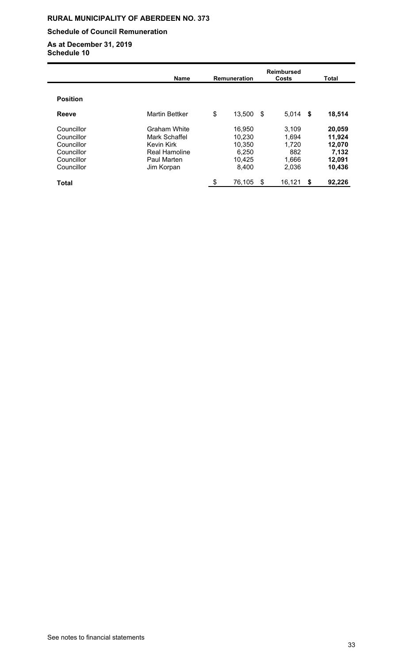### **Schedule of Council Remuneration**

|                 | <b>Name</b>           | <b>Remuneration</b> |      | <b>Reimbursed</b><br>Costs |      | <b>Total</b> |  |  |
|-----------------|-----------------------|---------------------|------|----------------------------|------|--------------|--|--|
| <b>Position</b> |                       |                     |      |                            |      |              |  |  |
| Reeve           | <b>Martin Bettker</b> | \$<br>13,500        | - \$ | 5,014                      | - \$ | 18,514       |  |  |
| Councillor      | <b>Graham White</b>   | 16,950              |      | 3,109                      |      | 20,059       |  |  |
| Councillor      | Mark Schaffel         | 10,230              |      | 1,694                      |      | 11,924       |  |  |
| Councillor      | <b>Kevin Kirk</b>     | 10,350              |      | 1,720                      |      | 12,070       |  |  |
| Councillor      | Real Hamoline         | 6,250               |      | 882                        |      | 7,132        |  |  |
| Councillor      | Paul Marten           | 10,425              |      | 1,666                      |      | 12,091       |  |  |
| Councillor      | Jim Korpan            | 8,400               |      | 2,036                      |      | 10,436       |  |  |
| <b>Total</b>    |                       | \$<br>76,105        | \$   | 16,121                     | \$   | 92,226       |  |  |